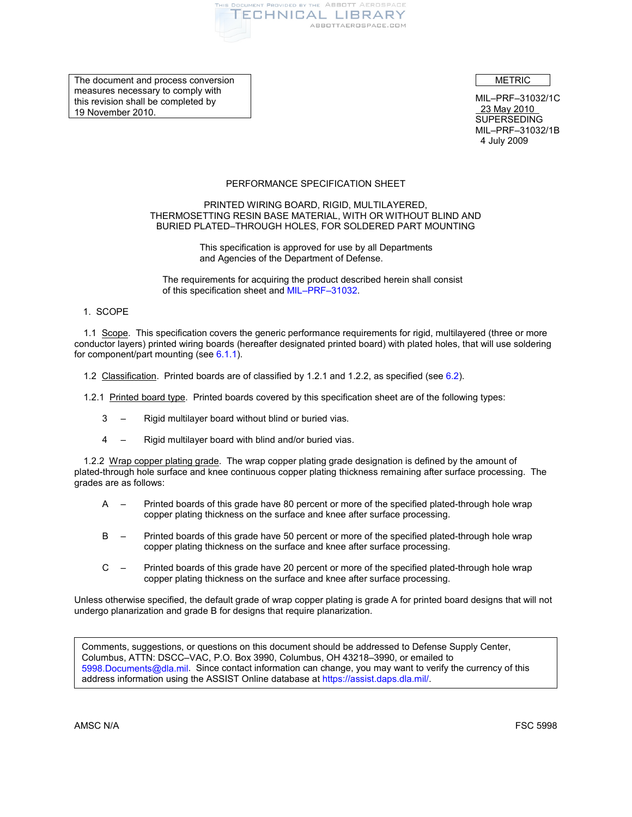

The document and process conversion measures necessary to comply with this revision shall be completed by 19 November 2010.

METRIC

MIL–PRF–31032/1C 23 May 2010 **SUPERSEDING** MIL–PRF–31032/1B 4 July 2009

# PERFORMANCE SPECIFICATION SHEET

## PRINTED WIRING BOARD, RIGID, MULTILAYERED, THERMOSETTING RESIN BASE MATERIAL, WITH OR WITHOUT BLIND AND BURIED PLATED–THROUGH HOLES, FOR SOLDERED PART MOUNTING

This specification is approved for use by all Departments and Agencies of the Department of Defense.

The requirements for acquiring the product described herein shall consist of this specification sheet and [MIL–PRF–31032.](#page-1-0)

1. SCOPE

1.1 Scope. This specification covers the generic performance requirements for rigid, multilayered (three or more conductor layers) printed wiring boards (hereafter designated printed board) with plated holes, that will use soldering for component/part mounting (se[e 6.1.1\)](#page-21-0).

- 1.2 Classification. Printed boards are of classified by 1.2.1 and 1.2.2, as specified (see [6.2\)](#page-21-1).
- <span id="page-0-1"></span>1.2.1 Printed board type. Printed boards covered by this specification sheet are of the following types:
	- 3 Rigid multilayer board without blind or buried vias.
	- 4 Rigid multilayer board with blind and/or buried vias.

<span id="page-0-0"></span>1.2.2 Wrap copper plating grade. The wrap copper plating grade designation is defined by the amount of plated-through hole surface and knee continuous copper plating thickness remaining after surface processing. The grades are as follows:

- A Printed boards of this grade have 80 percent or more of the specified plated-through hole wrap copper plating thickness on the surface and knee after surface processing.
- B Printed boards of this grade have 50 percent or more of the specified plated-through hole wrap copper plating thickness on the surface and knee after surface processing.
- C Printed boards of this grade have 20 percent or more of the specified plated-through hole wrap copper plating thickness on the surface and knee after surface processing.

Unless otherwise specified, the default grade of wrap copper plating is grade A for printed board designs that will not undergo planarization and grade B for designs that require planarization.

Comments, suggestions, or questions on this document should be addressed to Defense Supply Center, Columbus, ATTN: DSCC–VAC, P.O. Box 3990, Columbus, OH 43218–3990, or emailed to [5998.Documents@dla.mil.](mailto:5998.Documents@dla.mil) Since contact information can change, you may want to verify the currency of this address information using the ASSIST Online database a[t https://assist.daps.dla.mil/.](https://assist.daps.dla.mil/)

AMSC N/A FSC 5998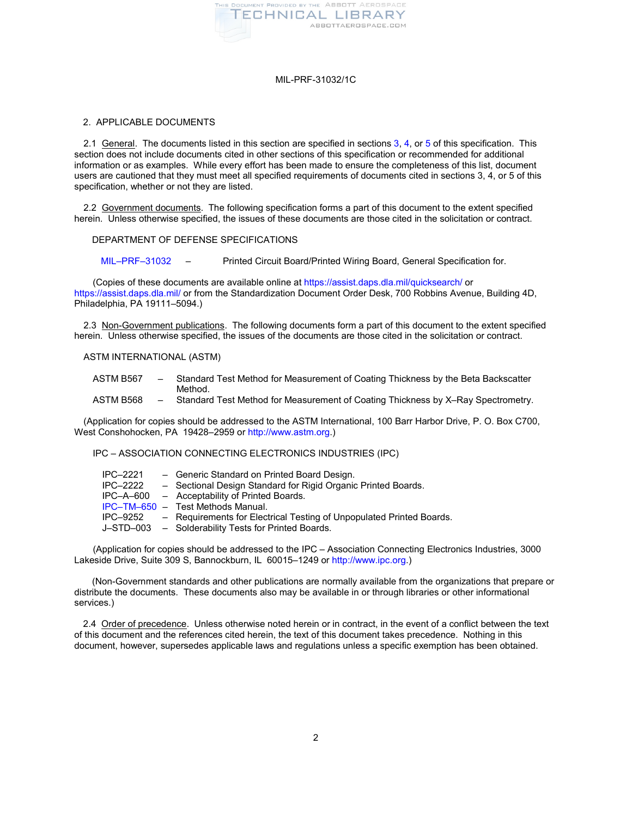

## <span id="page-1-7"></span>2. APPLICABLE DOCUMENTS

2.1 General. The documents listed in this section are specified in section[s 3,](#page-2-0) [4,](#page-14-0) or [5](#page-21-2) of this specification. This section does not include documents cited in other sections of this specification or recommended for additional information or as examples. While every effort has been made to ensure the completeness of this list, document users are cautioned that they must meet all specified requirements of documents cited in sections 3, 4, or 5 of this specification, whether or not they are listed.

2.2 Government documents. The following specification forms a part of this document to the extent specified herein. Unless otherwise specified, the issues of these documents are those cited in the solicitation or contract.

DEPARTMENT OF DEFENSE SPECIFICATIONS

<span id="page-1-0"></span>[MIL–PRF–31032](http://www.dscc.dla.mil/Programs/MilSpec/listdocs.asp?BasicDoc=MIL-PRF-31032) – Printed Circuit Board/Printed Wiring Board, General Specification for.

(Copies of these documents are available online at <https://assist.daps.dla.mil/quicksearch/>or <https://assist.daps.dla.mil/> or from the Standardization Document Order Desk, 700 Robbins Avenue, Building 4D, Philadelphia, PA 19111–5094.)

2.3 Non-Government publications. The following documents form a part of this document to the extent specified herein. Unless otherwise specified, the issues of the documents are those cited in the solicitation or contract.

## ASTM INTERNATIONAL (ASTM)

- <span id="page-1-5"></span>ASTM B567 – Standard Test Method for Measurement of Coating Thickness by the Beta Backscatter Method.
- <span id="page-1-6"></span>ASTM B568 – Standard Test Method for Measurement of Coating Thickness by X–Ray Spectrometry.

(Application for copies should be addressed to the ASTM International, 100 Barr Harbor Drive, P. O. Box C700, West Conshohocken, PA 19428–2959 or [http://www.astm.org.](http://www.astm.org/))

<span id="page-1-1"></span>IPC – ASSOCIATION CONNECTING ELECTRONICS INDUSTRIES (IPC)

<span id="page-1-3"></span><span id="page-1-2"></span>

| IPC-2221<br><b>IPC-2222</b> | - Generic Standard on Printed Board Design.<br>- Sectional Design Standard for Rigid Organic Printed Boards. |
|-----------------------------|--------------------------------------------------------------------------------------------------------------|
|                             | IPC-A-600 - Acceptability of Printed Boards.                                                                 |
|                             | IPC-TM-650 - Test Methods Manual.                                                                            |
|                             | IPC-9252 - Requirements for Electrical Testing of Unpopulated Printed Boards.                                |
|                             | J-STD-003 - Solderability Tests for Printed Boards.                                                          |

<span id="page-1-4"></span>(Application for copies should be addressed to the IPC – Association Connecting Electronics Industries, 3000 Lakeside Drive, Suite 309 S, Bannockburn, IL 60015–1249 o[r http://www.ipc.org.](http://www.ipc.org/))

(Non-Government standards and other publications are normally available from the organizations that prepare or distribute the documents. These documents also may be available in or through libraries or other informational services.)

2.4 Order of precedence. Unless otherwise noted herein or in contract, in the event of a conflict between the text of this document and the references cited herein, the text of this document takes precedence. Nothing in this document, however, supersedes applicable laws and regulations unless a specific exemption has been obtained.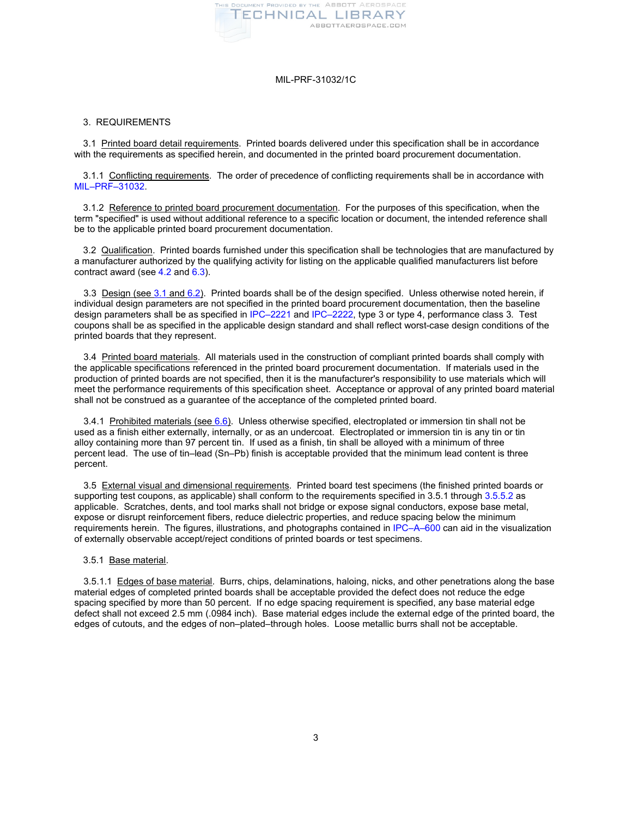

## <span id="page-2-0"></span>3. REQUIREMENTS

<span id="page-2-1"></span>3.1 Printed board detail requirements. Printed boards delivered under this specification shall be in accordance with the requirements as specified herein, and documented in the printed board procurement documentation.

3.1.1 Conflicting requirements. The order of precedence of conflicting requirements shall be in accordance with [MIL–PRF–31032.](#page-1-0)

3.1.2 Reference to printed board procurement documentation. For the purposes of this specification, when the term "specified" is used without additional reference to a specific location or document, the intended reference shall be to the applicable printed board procurement documentation.

3.2 Qualification. Printed boards furnished under this specification shall be technologies that are manufactured by a manufacturer authorized by the qualifying activity for listing on the applicable qualified manufacturers list before contract award (se[e 4.2](#page-14-1) and [6.3\)](#page-22-0).

<span id="page-2-2"></span>3.3 Design (see [3.1](#page-2-1) an[d 6.2\)](#page-21-1). Printed boards shall be of the design specified. Unless otherwise noted herein, if individual design parameters are not specified in the printed board procurement documentation, then the baseline design parameters shall be as specified in [IPC–2221](#page-1-1) and [IPC–2222,](#page-1-2) type 3 or type 4, performance class 3. Test coupons shall be as specified in the applicable design standard and shall reflect worst-case design conditions of the printed boards that they represent.

<span id="page-2-3"></span>3.4 Printed board materials. All materials used in the construction of compliant printed boards shall comply with the applicable specifications referenced in the printed board procurement documentation. If materials used in the production of printed boards are not specified, then it is the manufacturer's responsibility to use materials which will meet the performance requirements of this specification sheet. Acceptance or approval of any printed board material shall not be construed as a guarantee of the acceptance of the completed printed board.

<span id="page-2-6"></span>3.4.1 Prohibited materials (see [6.6\)](#page-22-1). Unless otherwise specified, electroplated or immersion tin shall not be used as a finish either externally, internally, or as an undercoat. Electroplated or immersion tin is any tin or tin alloy containing more than 97 percent tin. If used as a finish, tin shall be alloyed with a minimum of three percent lead. The use of tin–lead (Sn–Pb) finish is acceptable provided that the minimum lead content is three percent.

<span id="page-2-4"></span>3.5 External visual and dimensional requirements. Printed board test specimens (the finished printed boards or supporting test coupons, as applicable) shall conform to the requirements specified in 3.5.1 throug[h 3.5.5.2](#page-7-0) as applicable. Scratches, dents, and tool marks shall not bridge or expose signal conductors, expose base metal, expose or disrupt reinforcement fibers, reduce dielectric properties, and reduce spacing below the minimum requirements herein. The figures, illustrations, and photographs contained i[n IPC–A–600](#page-1-3) can aid in the visualization of externally observable accept/reject conditions of printed boards or test specimens.

#### <span id="page-2-5"></span>3.5.1 Base material.

3.5.1.1 Edges of base material. Burrs, chips, delaminations, haloing, nicks, and other penetrations along the base material edges of completed printed boards shall be acceptable provided the defect does not reduce the edge spacing specified by more than 50 percent. If no edge spacing requirement is specified, any base material edge defect shall not exceed 2.5 mm (.0984 inch). Base material edges include the external edge of the printed board, the edges of cutouts, and the edges of non–plated–through holes. Loose metallic burrs shall not be acceptable.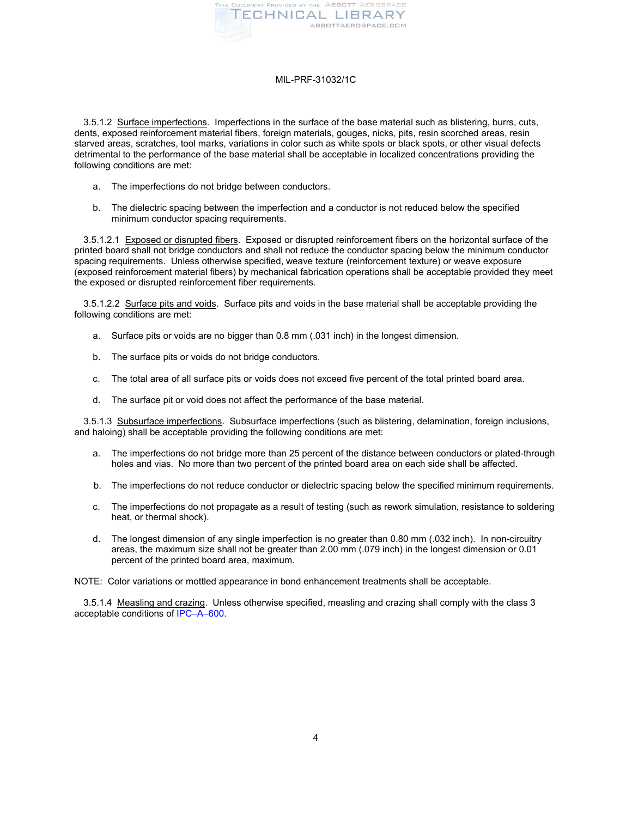

<span id="page-3-0"></span>3.5.1.2 Surface imperfections. Imperfections in the surface of the base material such as blistering, burrs, cuts, dents, exposed reinforcement material fibers, foreign materials, gouges, nicks, pits, resin scorched areas, resin starved areas, scratches, tool marks, variations in color such as white spots or black spots, or other visual defects detrimental to the performance of the base material shall be acceptable in localized concentrations providing the following conditions are met:

- a. The imperfections do not bridge between conductors.
- b. The dielectric spacing between the imperfection and a conductor is not reduced below the specified minimum conductor spacing requirements.

3.5.1.2.1 Exposed or disrupted fibers. Exposed or disrupted reinforcement fibers on the horizontal surface of the printed board shall not bridge conductors and shall not reduce the conductor spacing below the minimum conductor spacing requirements. Unless otherwise specified, weave texture (reinforcement texture) or weave exposure (exposed reinforcement material fibers) by mechanical fabrication operations shall be acceptable provided they meet the exposed or disrupted reinforcement fiber requirements.

3.5.1.2.2 Surface pits and voids. Surface pits and voids in the base material shall be acceptable providing the following conditions are met:

- a. Surface pits or voids are no bigger than 0.8 mm (.031 inch) in the longest dimension.
- b. The surface pits or voids do not bridge conductors.
- c. The total area of all surface pits or voids does not exceed five percent of the total printed board area.
- d. The surface pit or void does not affect the performance of the base material.

<span id="page-3-1"></span>3.5.1.3 Subsurface imperfections. Subsurface imperfections (such as blistering, delamination, foreign inclusions, and haloing) shall be acceptable providing the following conditions are met:

- a. The imperfections do not bridge more than 25 percent of the distance between conductors or plated-through holes and vias. No more than two percent of the printed board area on each side shall be affected.
- b. The imperfections do not reduce conductor or dielectric spacing below the specified minimum requirements.
- c. The imperfections do not propagate as a result of testing (such as rework simulation, resistance to soldering heat, or thermal shock).
- d. The longest dimension of any single imperfection is no greater than 0.80 mm (.032 inch). In non-circuitry areas, the maximum size shall not be greater than 2.00 mm (.079 inch) in the longest dimension or 0.01 percent of the printed board area, maximum.

NOTE: Color variations or mottled appearance in bond enhancement treatments shall be acceptable.

3.5.1.4 Measling and crazing. Unless otherwise specified, measling and crazing shall comply with the class 3 acceptable conditions of [IPC–A–600.](#page-1-3)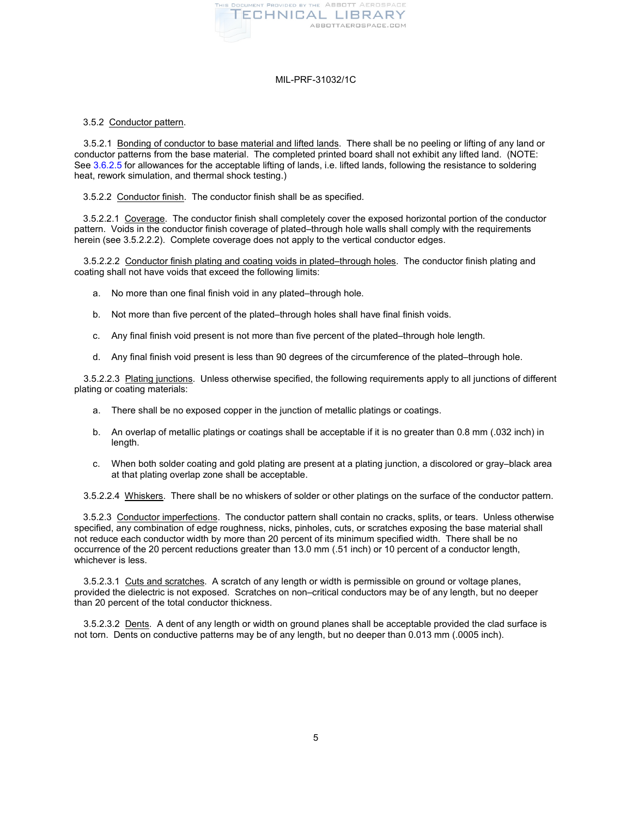

## 3.5.2 Conductor pattern.

3.5.2.1 Bonding of conductor to base material and lifted lands. There shall be no peeling or lifting of any land or conductor patterns from the base material. The completed printed board shall not exhibit any lifted land. (NOTE: Se[e 3.6.2.5](#page-9-0) for allowances for the acceptable lifting of lands, i.e. lifted lands, following the resistance to soldering heat, rework simulation, and thermal shock testing.)

<span id="page-4-0"></span>3.5.2.2 Conductor finish. The conductor finish shall be as specified.

3.5.2.2.1 Coverage. The conductor finish shall completely cover the exposed horizontal portion of the conductor pattern. Voids in the conductor finish coverage of plated–through hole walls shall comply with the requirements herein (see 3.5.2.2.2). Complete coverage does not apply to the vertical conductor edges.

3.5.2.2.2 Conductor finish plating and coating voids in plated–through holes. The conductor finish plating and coating shall not have voids that exceed the following limits:

- a. No more than one final finish void in any plated–through hole.
- b. Not more than five percent of the plated–through holes shall have final finish voids.
- c. Any final finish void present is not more than five percent of the plated–through hole length.
- d. Any final finish void present is less than 90 degrees of the circumference of the plated–through hole.

3.5.2.2.3 Plating junctions. Unless otherwise specified, the following requirements apply to all junctions of different plating or coating materials:

- a. There shall be no exposed copper in the junction of metallic platings or coatings.
- b. An overlap of metallic platings or coatings shall be acceptable if it is no greater than 0.8 mm (.032 inch) in length.
- c. When both solder coating and gold plating are present at a plating junction, a discolored or gray–black area at that plating overlap zone shall be acceptable.

3.5.2.2.4 Whiskers. There shall be no whiskers of solder or other platings on the surface of the conductor pattern.

<span id="page-4-1"></span>3.5.2.3 Conductor imperfections. The conductor pattern shall contain no cracks, splits, or tears. Unless otherwise specified, any combination of edge roughness, nicks, pinholes, cuts, or scratches exposing the base material shall not reduce each conductor width by more than 20 percent of its minimum specified width. There shall be no occurrence of the 20 percent reductions greater than 13.0 mm (.51 inch) or 10 percent of a conductor length, whichever is less.

3.5.2.3.1 Cuts and scratches. A scratch of any length or width is permissible on ground or voltage planes, provided the dielectric is not exposed. Scratches on non–critical conductors may be of any length, but no deeper than 20 percent of the total conductor thickness.

3.5.2.3.2 Dents. A dent of any length or width on ground planes shall be acceptable provided the clad surface is not torn. Dents on conductive patterns may be of any length, but no deeper than 0.013 mm (.0005 inch).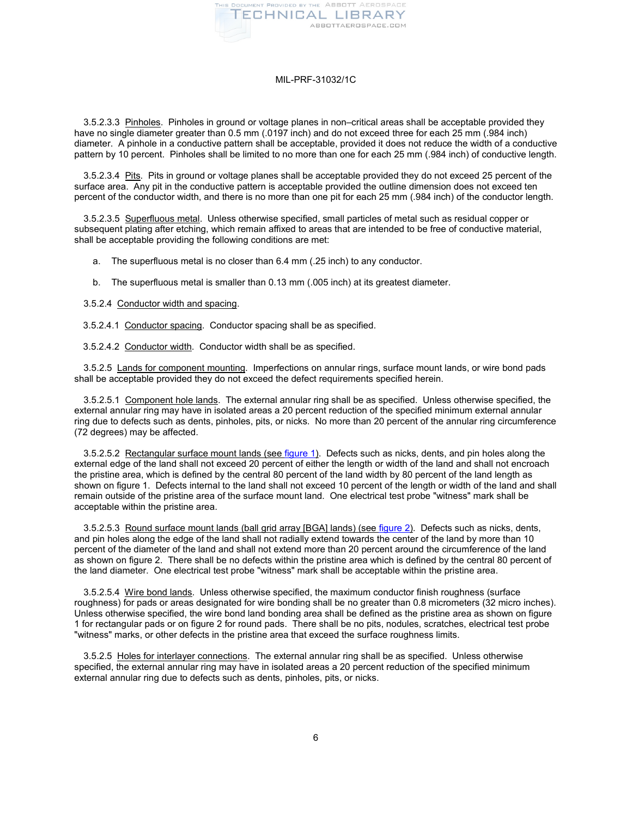

3.5.2.3.3 Pinholes. Pinholes in ground or voltage planes in non–critical areas shall be acceptable provided they have no single diameter greater than 0.5 mm (.0197 inch) and do not exceed three for each 25 mm (.984 inch) diameter. A pinhole in a conductive pattern shall be acceptable, provided it does not reduce the width of a conductive pattern by 10 percent. Pinholes shall be limited to no more than one for each 25 mm (.984 inch) of conductive length.

3.5.2.3.4 Pits. Pits in ground or voltage planes shall be acceptable provided they do not exceed 25 percent of the surface area. Any pit in the conductive pattern is acceptable provided the outline dimension does not exceed ten percent of the conductor width, and there is no more than one pit for each 25 mm (.984 inch) of the conductor length.

3.5.2.3.5 Superfluous metal. Unless otherwise specified, small particles of metal such as residual copper or subsequent plating after etching, which remain affixed to areas that are intended to be free of conductive material, shall be acceptable providing the following conditions are met:

- a. The superfluous metal is no closer than 6.4 mm (.25 inch) to any conductor.
- b. The superfluous metal is smaller than 0.13 mm (.005 inch) at its greatest diameter.

3.5.2.4 Conductor width and spacing.

<span id="page-5-0"></span>3.5.2.4.1 Conductor spacing. Conductor spacing shall be as specified.

<span id="page-5-1"></span>3.5.2.4.2 Conductor width. Conductor width shall be as specified.

3.5.2.5 Lands for component mounting. Imperfections on annular rings, surface mount lands, or wire bond pads shall be acceptable provided they do not exceed the defect requirements specified herein.

3.5.2.5.1 Component hole lands. The external annular ring shall be as specified. Unless otherwise specified, the external annular ring may have in isolated areas a 20 percent reduction of the specified minimum external annular ring due to defects such as dents, pinholes, pits, or nicks. No more than 20 percent of the annular ring circumference (72 degrees) may be affected.

3.5.2.5.2 Rectangular surface mount lands (se[e figure 1\)](#page-23-0). Defects such as nicks, dents, and pin holes along the external edge of the land shall not exceed 20 percent of either the length or width of the land and shall not encroach the pristine area, which is defined by the central 80 percent of the land width by 80 percent of the land length as shown on figure 1. Defects internal to the land shall not exceed 10 percent of the length or width of the land and shall remain outside of the pristine area of the surface mount land. One electrical test probe "witness" mark shall be acceptable within the pristine area.

3.5.2.5.3 Round surface mount lands (ball grid array [BGA] lands) (see [figure 2\)](#page-23-1). Defects such as nicks, dents, and pin holes along the edge of the land shall not radially extend towards the center of the land by more than 10 percent of the diameter of the land and shall not extend more than 20 percent around the circumference of the land as shown on figure 2. There shall be no defects within the pristine area which is defined by the central 80 percent of the land diameter. One electrical test probe "witness" mark shall be acceptable within the pristine area.

3.5.2.5.4 Wire bond lands. Unless otherwise specified, the maximum conductor finish roughness (surface roughness) for pads or areas designated for wire bonding shall be no greater than 0.8 micrometers (32 micro inches). Unless otherwise specified, the wire bond land bonding area shall be defined as the pristine area as shown on figure 1 for rectangular pads or on figure 2 for round pads. There shall be no pits, nodules, scratches, electrical test probe "witness" marks, or other defects in the pristine area that exceed the surface roughness limits.

3.5.2.5 Holes for interlayer connections. The external annular ring shall be as specified. Unless otherwise specified, the external annular ring may have in isolated areas a 20 percent reduction of the specified minimum external annular ring due to defects such as dents, pinholes, pits, or nicks.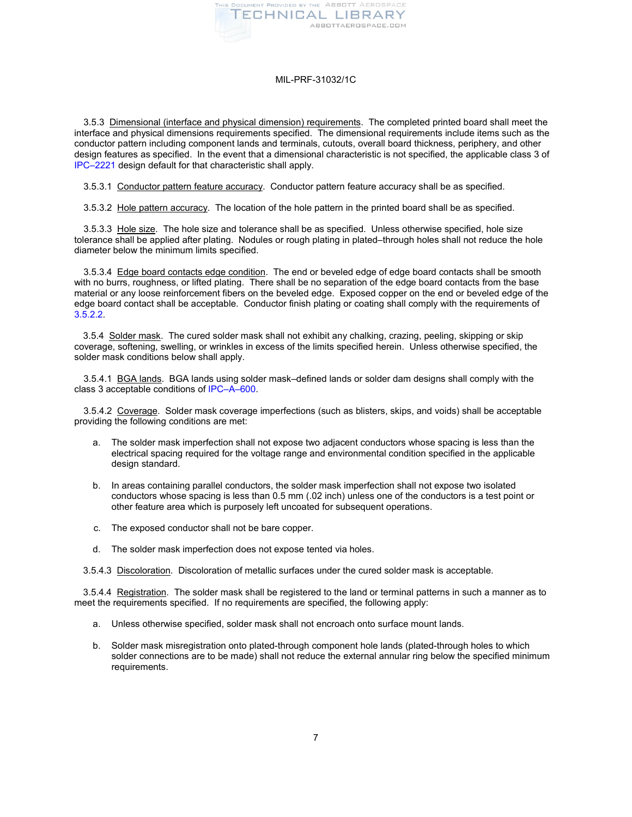

3.5.3 Dimensional (interface and physical dimension) requirements. The completed printed board shall meet the interface and physical dimensions requirements specified. The dimensional requirements include items such as the conductor pattern including component lands and terminals, cutouts, overall board thickness, periphery, and other design features as specified. In the event that a dimensional characteristic is not specified, the applicable class 3 of [IPC–2221](#page-1-1) design default for that characteristic shall apply.

3.5.3.1 Conductor pattern feature accuracy. Conductor pattern feature accuracy shall be as specified.

3.5.3.2 Hole pattern accuracy. The location of the hole pattern in the printed board shall be as specified.

3.5.3.3 Hole size. The hole size and tolerance shall be as specified. Unless otherwise specified, hole size tolerance shall be applied after plating. Nodules or rough plating in plated–through holes shall not reduce the hole diameter below the minimum limits specified.

3.5.3.4 Edge board contacts edge condition. The end or beveled edge of edge board contacts shall be smooth with no burrs, roughness, or lifted plating. There shall be no separation of the edge board contacts from the base material or any loose reinforcement fibers on the beveled edge. Exposed copper on the end or beveled edge of the edge board contact shall be acceptable. Conductor finish plating or coating shall comply with the requirements of [3.5.2.2.](#page-4-0) 

3.5.4 Solder mask. The cured solder mask shall not exhibit any chalking, crazing, peeling, skipping or skip coverage, softening, swelling, or wrinkles in excess of the limits specified herein. Unless otherwise specified, the solder mask conditions below shall apply.

3.5.4.1 BGA lands. BGA lands using solder mask–defined lands or solder dam designs shall comply with the class 3 acceptable conditions o[f IPC–A–600.](#page-1-3)

3.5.4.2 Coverage. Solder mask coverage imperfections (such as blisters, skips, and voids) shall be acceptable providing the following conditions are met:

- a. The solder mask imperfection shall not expose two adjacent conductors whose spacing is less than the electrical spacing required for the voltage range and environmental condition specified in the applicable design standard.
- b. In areas containing parallel conductors, the solder mask imperfection shall not expose two isolated conductors whose spacing is less than 0.5 mm (.02 inch) unless one of the conductors is a test point or other feature area which is purposely left uncoated for subsequent operations.
- c. The exposed conductor shall not be bare copper.
- d. The solder mask imperfection does not expose tented via holes.

3.5.4.3 Discoloration. Discoloration of metallic surfaces under the cured solder mask is acceptable.

3.5.4.4 Registration. The solder mask shall be registered to the land or terminal patterns in such a manner as to meet the requirements specified. If no requirements are specified, the following apply:

- a. Unless otherwise specified, solder mask shall not encroach onto surface mount lands.
- b. Solder mask misregistration onto plated-through component hole lands (plated-through holes to which solder connections are to be made) shall not reduce the external annular ring below the specified minimum requirements.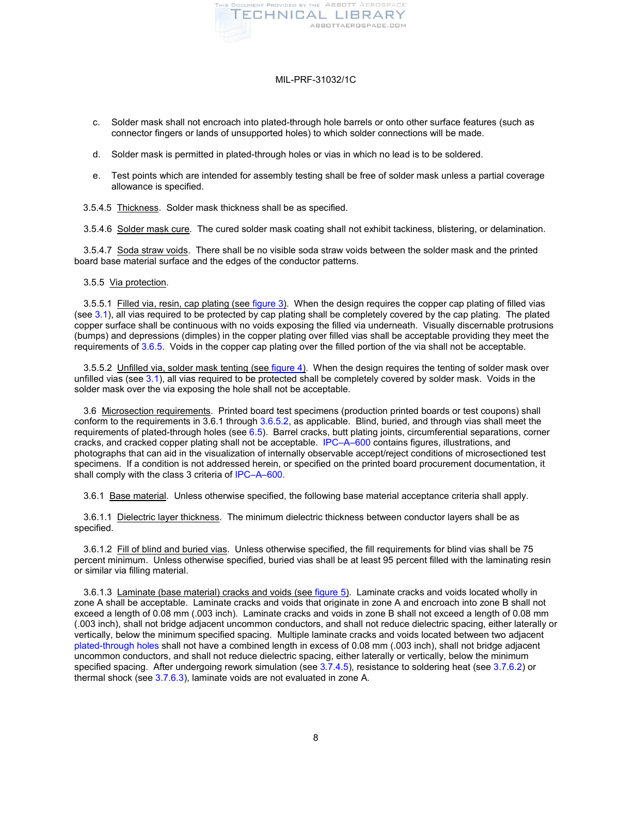

- c. Solder mask shall not encroach into plated-through hole barrels or onto other surface features (such as connector fingers or lands of unsupported holes) to which solder connections will be made.
- d. Solder mask is permitted in plated-through holes or vias in which no lead is to be soldered.
- e. Test points which are intended for assembly testing shall be free of solder mask unless a partial coverage allowance is specified.
- 3.5.4.5 Thickness. Solder mask thickness shall be as specified.

3.5.4.6 Solder mask cure. The cured solder mask coating shall not exhibit tackiness, blistering, or delamination.

3.5.4.7 Soda straw voids. There shall be no visible soda straw voids between the solder mask and the printed board base material surface and the edges of the conductor patterns.

#### 3.5.5 Via protection.

3.5.5.1 Filled via, resin, cap plating (see [figure 3\)](#page-24-0). When the design requires the copper cap plating of filled vias (see [3.1\)](#page-2-1), all vias required to be protected by cap plating shall be completely covered by the cap plating. The plated copper surface shall be continuous with no voids exposing the filled via underneath. Visually discernable protrusions (bumps) and depressions (dimples) in the copper plating over filled vias shall be acceptable providing they meet the requirements of [3.6.5.](#page-10-0) Voids in the copper cap plating over the filled portion of the via shall not be acceptable.

<span id="page-7-0"></span>3.5.5.2 Unfilled via, solder mask tenting (see [figure 4\)](#page-24-1). When the design requires the tenting of solder mask over unfilled vias (se[e 3.1\)](#page-2-1), all vias required to be protected shall be completely covered by solder mask. Voids in the solder mask over the via exposing the hole shall not be acceptable.

<span id="page-7-1"></span>3.6 Microsection requirements. Printed board test specimens (production printed boards or test coupons) shall conform to the requirements in 3.6.1 through [3.6.5.2,](#page-10-1) as applicable. Blind, buried, and through vias shall meet the requirements of plated-through holes (see  $6.5$ ). Barrel cracks, butt plating joints, circumferential separations, corner cracks, and cracked copper plating shall not be acceptable. [IPC–A–600](#page-1-3) contains figures, illustrations, and photographs that can aid in the visualization of internally observable accept/reject conditions of microsectioned test specimens. If a condition is not addressed herein, or specified on the printed board procurement documentation, it shall comply with the class 3 criteria o[f IPC–A–600.](#page-1-3)

3.6.1 Base material. Unless otherwise specified, the following base material acceptance criteria shall apply.

3.6.1.1 Dielectric layer thickness. The minimum dielectric thickness between conductor layers shall be as specified.

3.6.1.2 Fill of blind and buried vias. Unless otherwise specified, the fill requirements for blind vias shall be 75 percent minimum. Unless otherwise specified, buried vias shall be at least 95 percent filled with the laminating resin or similar via filling material.

3.6.1.3 Laminate (base material) cracks and voids (see [figure 5\)](#page-25-0). Laminate cracks and voids located wholly in zone A shall be acceptable. Laminate cracks and voids that originate in zone A and encroach into zone B shall not exceed a length of 0.08 mm (.003 inch). Laminate cracks and voids in zone B shall not exceed a length of 0.08 mm (.003 inch), shall not bridge adjacent uncommon conductors, and shall not reduce dielectric spacing, either laterally or vertically, below the minimum specified spacing. Multiple laminate cracks and voids located between two adjacent [plated-through holes](#page-22-3) shall not have a combined length in excess of 0.08 mm (.003 inch), shall not bridge adjacent uncommon conductors, and shall not reduce dielectric spacing, either laterally or vertically, below the minimum specified spacing. After undergoing rework simulation (see [3.7.4.5\)](#page-11-0), resistance to soldering heat (see [3.7.6.2\)](#page-12-0) or thermal shock (se[e 3.7.6.3\)](#page-13-0), laminate voids are not evaluated in zone A.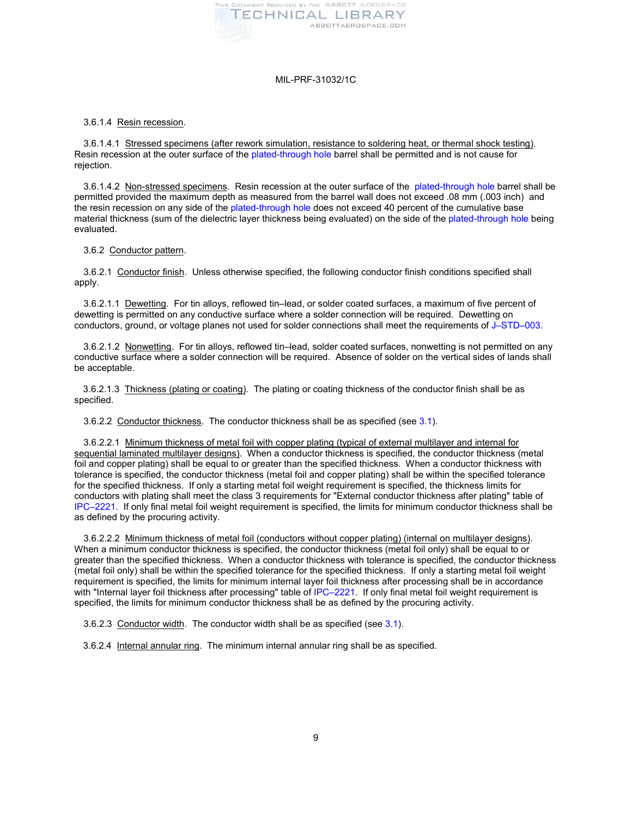

#### 3.6.1.4 Resin recession.

3.6.1.4.1 Stressed specimens (after rework simulation, resistance to soldering heat, or thermal shock testing). Resin recession at the outer surface of th[e plated-through hole](#page-22-3) barrel shall be permitted and is not cause for rejection.

3.6.1.4.2 Non-stressed specimens. Resin recession at the outer surface of the [plated-through hole](#page-22-3) barrel shall be permitted provided the maximum depth as measured from the barrel wall does not exceed .08 mm (.003 inch) and the resin recession on any side of the [plated-through hole](#page-22-3) does not exceed 40 percent of the cumulative base material thickness (sum of the dielectric layer thickness being evaluated) on the side of the [plated-through hole](#page-22-3) being evaluated.

## 3.6.2 Conductor pattern.

3.6.2.1 Conductor finish. Unless otherwise specified, the following conductor finish conditions specified shall apply.

3.6.2.1.1 Dewetting. For tin alloys, reflowed tin–lead, or solder coated surfaces, a maximum of five percent of conductors, ground, or voltage planes not used for solder connections shall meet the requirements of [J–STD–003](#page-1-4). dewetting is permitted on any conductive surface where a solder connection will be required. Dewetting on

3.6.2.1.2 Nonwetting. For tin alloys, reflowed tin–lead, solder coated surfaces, nonwetting is not permitted on any conductive surface where a solder connection will be required. Absence of solder on the vertical sides of lands shall be acceptable.

3.6.2.1.3 Thickness (plating or coating). The plating or coating thickness of the conductor finish shall be as specified.

3.6.2.2 Conductor thickness. The conductor thickness shall be as specified (see [3.1\)](#page-2-1).

3.6.2.2.1 Minimum thickness of metal foil with copper plating (typical of external multilayer and internal for sequential laminated multilayer designs). When a conductor thickness is specified, the conductor thickness (metal foil and copper plating) shall be equal to or greater than the specified thickness. When a conductor thickness with tolerance is specified, the conductor thickness (metal foil and copper plating) shall be within the specified tolerance for the specified thickness. If only a starting metal foil weight requirement is specified, the thickness limits for conductors with plating shall meet the class 3 requirements for "External conductor thickness after plating" table of [IPC–2221.](#page-1-1) If only final metal foil weight requirement is specified, the limits for minimum conductor thickness shall be as defined by the procuring activity.

3.6.2.2.2 Minimum thickness of metal foil (conductors without copper plating) (internal on multilayer designs). When a minimum conductor thickness is specified, the conductor thickness (metal foil only) shall be equal to or greater than the specified thickness. When a conductor thickness with tolerance is specified, the conductor thickness (metal foil only) shall be within the specified tolerance for the specified thickness. If only a starting metal foil weight requirement is specified, the limits for minimum internal layer foil thickness after processing shall be in accordance with "Internal layer foil thickness after processing" table of IPC-2221. If only final metal foil weight requirement is specified, the limits for minimum conductor thickness shall be as defined by the procuring activity.

3.6.2.3 Conductor width. The conductor width shall be as specified (see [3.1\)](#page-2-1).

3.6.2.4 Internal annular ring. The minimum internal annular ring shall be as specified.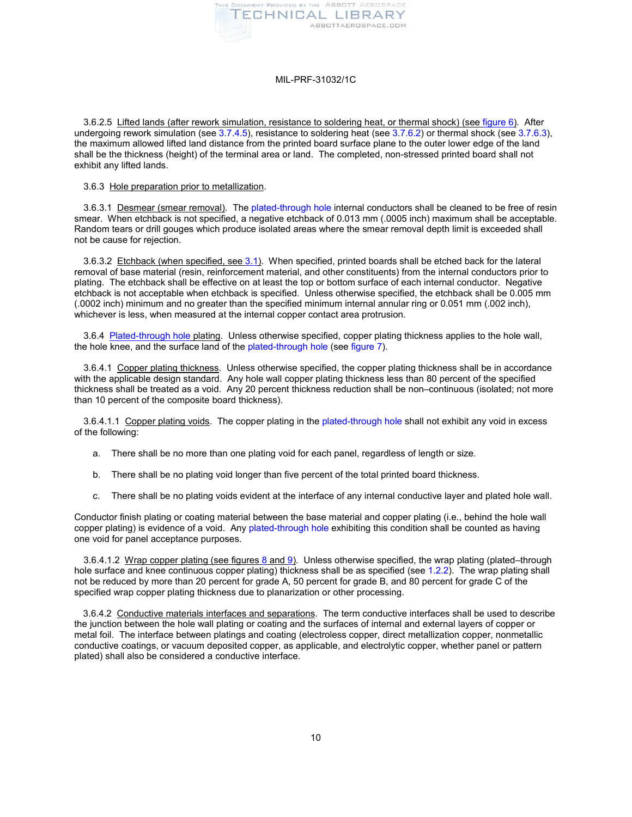

<span id="page-9-0"></span>3.6.2.5 Lifted lands (after rework simulation, resistance to soldering heat, or thermal shock) (se[e figure 6\)](#page-26-0). After undergoing rework simulation (see [3.7.4.5\)](#page-11-0), resistance to soldering heat (see [3.7.6.2\)](#page-12-0) or thermal shock (see [3.7.6.3\)](#page-13-0), the maximum allowed lifted land distance from the printed board surface plane to the outer lower edge of the land shall be the thickness (height) of the terminal area or land. The completed, non-stressed printed board shall not exhibit any lifted lands.

# 3.6.3 Hole preparation prior to metallization.

3.6.3.1 Desmear (smear removal). Th[e plated-through hole](#page-22-3) internal conductors shall be cleaned to be free of resin smear. When etchback is not specified, a negative etchback of 0.013 mm (.0005 inch) maximum shall be acceptable. Random tears or drill gouges which produce isolated areas where the smear removal depth limit is exceeded shall not be cause for rejection.

3.6.3.2 Etchback (when specified, se[e 3.1\)](#page-2-1). When specified, printed boards shall be etched back for the lateral removal of base material (resin, reinforcement material, and other constituents) from the internal conductors prior to plating. The etchback shall be effective on at least the top or bottom surface of each internal conductor. Negative etchback is not acceptable when etchback is specified. Unless otherwise specified, the etchback shall be 0.005 mm (.0002 inch) minimum and no greater than the specified minimum internal annular ring or 0.051 mm (.002 inch), whichever is less, when measured at the internal copper contact area protrusion.

3.6.4 [Plated-through hole](#page-22-3) plating. Unless otherwise specified, copper plating thickness applies to the hole wall, the hole knee, and the surface land of the [plated-through hole](#page-22-3) (see [figure 7\)](#page-26-1).

3.6.4.1 Copper plating thickness. Unless otherwise specified, the copper plating thickness shall be in accordance with the applicable design standard. Any hole wall copper plating thickness less than 80 percent of the specified thickness shall be treated as a void. Any 20 percent thickness reduction shall be non–continuous (isolated; not more than 10 percent of the composite board thickness).

<span id="page-9-1"></span>3.6.4.1.1 Copper plating voids. The copper plating in the [plated-through hole](#page-22-3) shall not exhibit any void in excess of the following:

- a. There shall be no more than one plating void for each panel, regardless of length or size.
- b. There shall be no plating void longer than five percent of the total printed board thickness.
- c. There shall be no plating voids evident at the interface of any internal conductive layer and plated hole wall.

Conductor finish plating or coating material between the base material and copper plating (i.e., behind the hole wall copper plating) is evidence of a void. Any [plated-through hole](#page-22-3) exhibiting this condition shall be counted as having one void for panel acceptance purposes.

3.6.4.1.2 Wrap copper plating (see figure[s 8](#page-27-0) an[d 9\)](#page-28-0). Unless otherwise specified, the wrap plating (plated–through hole surface and knee continuous copper plating) thickness shall be as specified (se[e 1.2.2\)](#page-0-0). The wrap plating shall not be reduced by more than 20 percent for grade A, 50 percent for grade B, and 80 percent for grade C of the specified wrap copper plating thickness due to planarization or other processing.

3.6.4.2 Conductive materials interfaces and separations. The term conductive interfaces shall be used to describe the junction between the hole wall plating or coating and the surfaces of internal and external layers of copper or metal foil. The interface between platings and coating (electroless copper, direct metallization copper, nonmetallic conductive coatings, or vacuum deposited copper, as applicable, and electrolytic copper, whether panel or pattern plated) shall also be considered a conductive interface.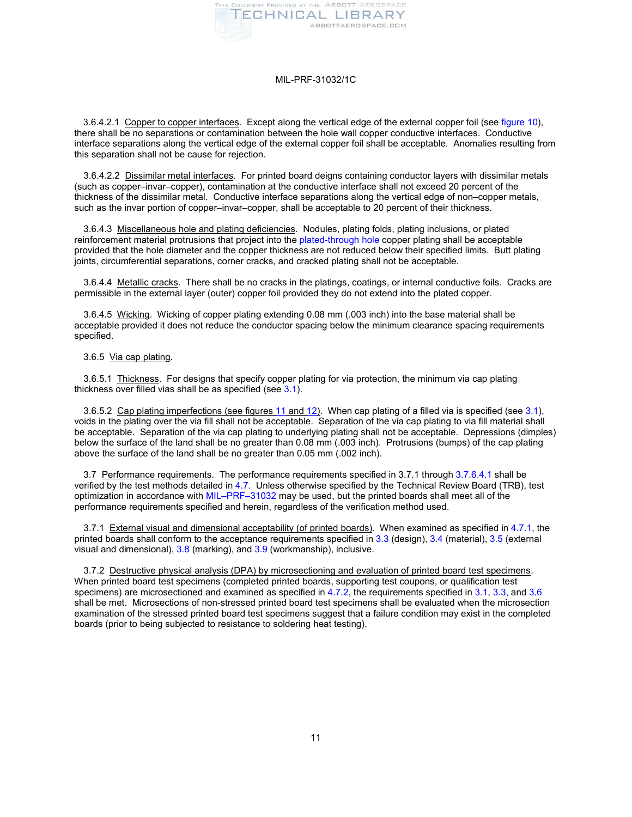

3.6.4.2.1 Copper to copper interfaces. Except along the vertical edge of the external copper foil (see [figure 10\)](#page-29-0), there shall be no separations or contamination between the hole wall copper conductive interfaces. Conductive interface separations along the vertical edge of the external copper foil shall be acceptable. Anomalies resulting from this separation shall not be cause for rejection.

3.6.4.2.2 Dissimilar metal interfaces. For printed board deigns containing conductor layers with dissimilar metals (such as copper–invar–copper), contamination at the conductive interface shall not exceed 20 percent of the thickness of the dissimilar metal. Conductive interface separations along the vertical edge of non–copper metals, such as the invar portion of copper–invar–copper, shall be acceptable to 20 percent of their thickness.

3.6.4.3 Miscellaneous hole and plating deficiencies. Nodules, plating folds, plating inclusions, or plated reinforcement material protrusions that project into the [plated-through hole](#page-22-3) copper plating shall be acceptable provided that the hole diameter and the copper thickness are not reduced below their specified limits. Butt plating joints, circumferential separations, corner cracks, and cracked plating shall not be acceptable.

3.6.4.4 Metallic cracks. There shall be no cracks in the platings, coatings, or internal conductive foils. Cracks are permissible in the external layer (outer) copper foil provided they do not extend into the plated copper.

3.6.4.5 Wicking. Wicking of copper plating extending 0.08 mm (.003 inch) into the base material shall be acceptable provided it does not reduce the conductor spacing below the minimum clearance spacing requirements specified.

# <span id="page-10-0"></span>3.6.5 Via cap plating.

3.6.5.1 Thickness. For designs that specify copper plating for via protection, the minimum via cap plating thickness over filled vias shall be as specified (see 3.1).

<span id="page-10-1"></span>3.6.5.2 Cap plating imperfections (see figures [11](#page-29-1) and [12\)](#page-30-0). When cap plating of a filled via is specified (see [3.1\)](#page-2-1), voids in the plating over the via fill shall not be acceptable. Separation of the via cap plating to via fill material shall be acceptable. Separation of the via cap plating to underlying plating shall not be acceptable. Depressions (dimples) below the surface of the land shall be no greater than 0.08 mm (.003 inch). Protrusions (bumps) of the cap plating above the surface of the land shall be no greater than 0.05 mm (.002 inch).

3.7 Performance requirements. The performance requirements specified in 3.7.1 throug[h 3.7.6.4.1](#page-13-1) shall be verified by the test methods detailed in [4.7.](#page-17-0) Unless otherwise specified by the Technical Review Board (TRB), test optimization in accordance with [MIL–PRF–31032](#page-1-0) may be used, but the printed boards shall meet all of the performance requirements specified and herein, regardless of the verification method used.

<span id="page-10-2"></span>3.7.1 External visual and dimensional acceptability (of printed boards). When examined as specified in [4.7.1,](#page-17-1) the printed boards shall conform to the acceptance requirements specified in [3.3](#page-2-2) (design)[, 3.4](#page-2-3) (material)[, 3.5](#page-2-4) (external visual and dimensional), [3.8](#page-13-2) (marking), an[d 3.9](#page-13-3) (workmanship), inclusive.

3.7.2 Destructive physical analysis (DPA) by microsectioning and evaluation of printed board test specimens. When printed board test specimens (completed printed boards, supporting test coupons, or qualification test specimens) are microsectioned and examined as specified i[n 4.7.2,](#page-17-2) the requirements specified in [3.1,](#page-2-1) [3.3,](#page-2-2) and [3.6](#page-7-1) shall be met. Microsections of non-stressed printed board test specimens shall be evaluated when the microsection examination of the stressed printed board test specimens suggest that a failure condition may exist in the completed boards (prior to being subjected to resistance to soldering heat testing).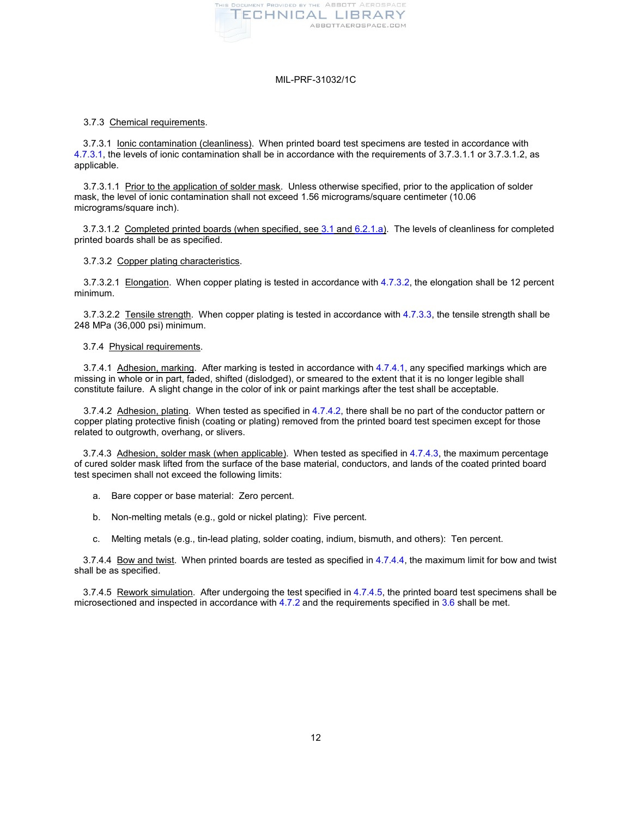

## 3.7.3 Chemical requirements.

3.7.3.1 Ionic contamination (cleanliness). When printed board test specimens are tested in accordance with 4.7.3.1, the levels of ionic contamination shall be in accordance with the requirements of 3.7.3.1.1 or 3.7.3.1.2, as applicable.

<span id="page-11-1"></span>3.7.3.1.1 Prior to the application of solder mask. Unless otherwise specified, prior to the application of solder mask, the level of ionic contamination shall not exceed 1.56 micrograms/square centimeter (10.06 micrograms/square inch).

<span id="page-11-8"></span>3.7.3.1.2 Completed printed boards (when specified, see [3.1](#page-2-1) and [6.2.1.a\)](#page-22-4). The levels of cleanliness for completed printed boards shall be as specified.

## 3.7.3.2 Copper plating characteristics.

<span id="page-11-6"></span>3.7.3.2.1 Elongation. When copper plating is tested in accordance with [4.7.3.2,](#page-18-0) the elongation shall be 12 percent minimum.

<span id="page-11-7"></span>3.7.3.2.2 Tensile strength. When copper plating is tested in accordance wit[h 4.7.3.3,](#page-18-1) the tensile strength shall be 248 MPa (36,000 psi) minimum.

#### 3.7.4 Physical requirements.

<span id="page-11-2"></span>3.7.4.1 Adhesion, marking. After marking is tested in accordance wit[h 4.7.4.1,](#page-19-0) any specified markings which are missing in whole or in part, faded, shifted (dislodged), or smeared to the extent that it is no longer legible shall constitute failure. A slight change in the color of ink or paint markings after the test shall be acceptable.

<span id="page-11-3"></span>3.7.4.2 Adhesion, plating. When tested as specified i[n 4.7.4.2,](#page-19-1) there shall be no part of the conductor pattern or copper plating protective finish (coating or plating) removed from the printed board test specimen except for those related to outgrowth, overhang, or slivers.

<span id="page-11-4"></span>3.7.4.3 Adhesion, solder mask (when applicable). When tested as specified in [4.7.4.3,](#page-19-2) the maximum percentage of cured solder mask lifted from the surface of the base material, conductors, and lands of the coated printed board test specimen shall not exceed the following limits:

- a. Bare copper or base material: Zero percent.
- b. Non-melting metals (e.g., gold or nickel plating): Five percent.
- c. Melting metals (e.g., tin-lead plating, solder coating, indium, bismuth, and others): Ten percent.

<span id="page-11-5"></span>3.7.4.4 Bow and twist. When printed boards are tested as specified in [4.7.4.4,](#page-19-3) the maximum limit for bow and twist shall be as specified.

<span id="page-11-0"></span>3.7.4.5 Rework simulation. After undergoing the test specified i[n 4.7.4.5,](#page-19-4) the printed board test specimens shall be microsectioned and inspected in accordance wit[h 4.7.2](#page-17-2) and the requirements specified in [3.6](#page-7-1) shall be met.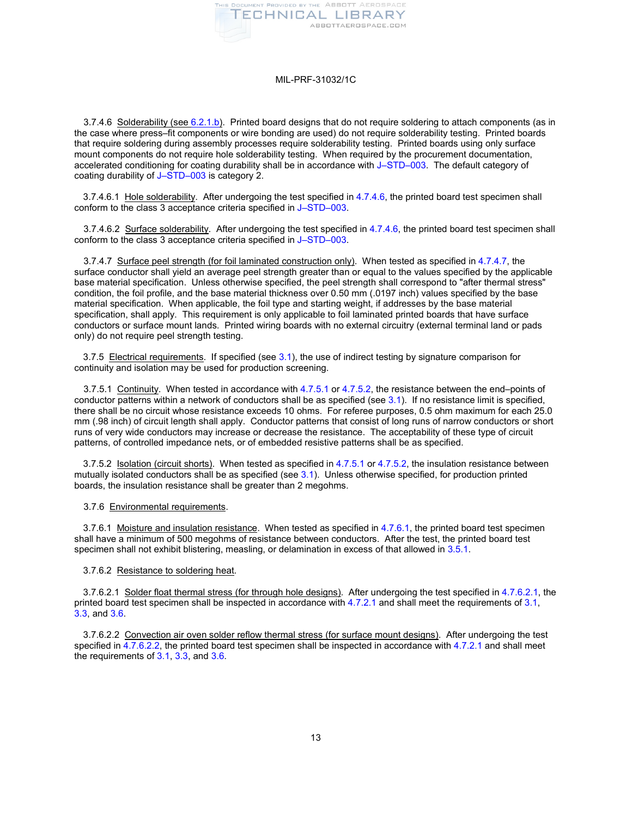

3.7.4.6 Solderability (see [6.2.1.b\)](#page-22-5). Printed board designs that do not require soldering to attach components (as in the case where press–fit components or wire bonding are used) do not require solderability testing. Printed boards that require soldering during assembly processes require solderability testing. Printed boards using only surface mount components do not require hole solderability testing. When required by the procurement documentation, accelerated conditioning for coating durability shall be in accordance with [J–STD–003.](#page-1-4) The default category of coating durability of [J–STD–003](#page-1-4) is category 2.

<span id="page-12-4"></span>3.7.4.6.1 Hole solderability. After undergoing the test specified in [4.7.4.6,](#page-19-5) the printed board test specimen shall conform to the class 3 acceptance criteria specified in [J–STD–003.](#page-1-4)

<span id="page-12-5"></span>3.7.4.6.2 Surface solderability. After undergoing the test specified in [4.7.4.6,](#page-19-5) the printed board test specimen shall conform to the class 3 acceptance criteria specified in [J–STD–003.](#page-1-4)

<span id="page-12-6"></span>3.7.4.7 Surface peel strength (for foil laminated construction only). When tested as specified i[n 4.7.4.7,](#page-19-6) the surface conductor shall yield an average peel strength greater than or equal to the values specified by the applicable base material specification. Unless otherwise specified, the peel strength shall correspond to "after thermal stress" condition, the foil profile, and the base material thickness over 0.50 mm (.0197 inch) values specified by the base material specification. When applicable, the foil type and starting weight, if addresses by the base material specification, shall apply. This requirement is only applicable to foil laminated printed boards that have surface conductors or surface mount lands. Printed wiring boards with no external circuitry (external terminal land or pads only) do not require peel strength testing.

3.7.5 Electrical requirements. If specified (see [3.1\)](#page-2-1), the use of indirect testing by signature comparison for continuity and isolation may be used for production screening.

<span id="page-12-2"></span>3.7.5.1 Continuity. When tested in accordance with [4.7.5.1](#page-20-0) o[r 4.7.5.2,](#page-20-1) the resistance between the end–points of conductor patterns within a network of conductors shall be as specified (see [3.1\)](#page-2-1). If no resistance limit is specified, there shall be no circuit whose resistance exceeds 10 ohms. For referee purposes, 0.5 ohm maximum for each 25.0 mm (.98 inch) of circuit length shall apply. Conductor patterns that consist of long runs of narrow conductors or short runs of very wide conductors may increase or decrease the resistance. The acceptability of these type of circuit patterns, of controlled impedance nets, or of embedded resistive patterns shall be as specified.

<span id="page-12-3"></span>3.7.5.2 **Isolation (circuit shorts)**. When tested as specified in [4.7.5.1](#page-20-0) or [4.7.5.2,](#page-20-1) the insulation resistance between mutually isolated conductors shall be as specified (se[e 3.1\)](#page-2-1). Unless otherwise specified, for production printed boards, the insulation resistance shall be greater than 2 megohms.

#### 3.7.6 Environmental requirements.

<span id="page-12-7"></span>3.7.6.1 Moisture and insulation resistance. When tested as specified in [4.7.6.1,](#page-20-2) the printed board test specimen shall have a minimum of 500 megohms of resistance between conductors. After the test, the printed board test specimen shall not exhibit blistering, measling, or delamination in excess of that allowed i[n 3.5.1.](#page-2-5)

#### <span id="page-12-0"></span>3.7.6.2 Resistance to soldering heat.

<span id="page-12-1"></span>3.7.6.2.1 Solder float thermal stress (for through hole designs). After undergoing the test specified i[n 4.7.6.2.1,](#page-20-3) the printed board test specimen shall be inspected in accordance with [4.7.2.1](#page-17-3) and shall meet the requirements of [3.1,](#page-2-1) [3.3,](#page-2-2) and [3.6.](#page-7-1)

<span id="page-12-8"></span>3.7.6.2.2 Convection air oven solder reflow thermal stress (for surface mount designs). After undergoing the test specified i[n 4.7.6.2.2,](#page-20-4) the printed board test specimen shall be inspected in accordance wit[h 4.7.2.1](#page-17-3) and shall meet the requirements of [3.1,](#page-2-1) [3.3,](#page-2-2) an[d 3.6.](#page-7-1)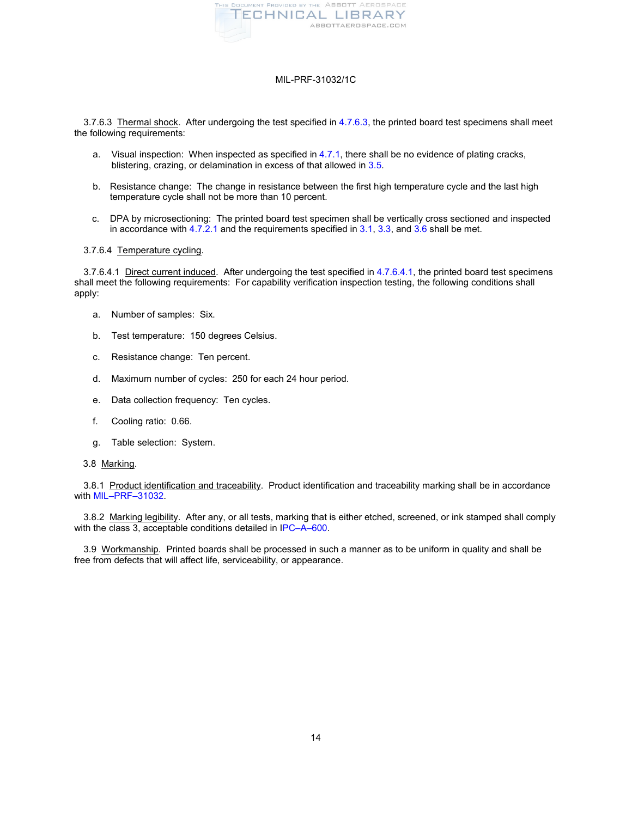

<span id="page-13-0"></span>3.7.6.3 Thermal shock. After undergoing the test specified i[n 4.7.6.3,](#page-20-5) the printed board test specimens shall meet the following requirements:

- a. Visual inspection: When inspected as specified in [4.7.1,](#page-17-1) there shall be no evidence of plating cracks, blistering, crazing, or delamination in excess of that allowed in [3.5.](#page-2-4)
- b. Resistance change: The change in resistance between the first high temperature cycle and the last high temperature cycle shall not be more than 10 percent.
- c. DPA by microsectioning: The printed board test specimen shall be vertically cross sectioned and inspected in accordance with  $4.7.2.1$  and the requirements specified in  $3.1, 3.3$ , and  $3.6$  shall be met.

## <span id="page-13-4"></span>3.7.6.4 Temperature cycling.

<span id="page-13-1"></span>3.7.6.4.1 Direct current induced. After undergoing the test specified in [4.7.6.4.1,](#page-20-6) the printed board test specimens shall meet the following requirements: For capability verification inspection testing, the following conditions shall apply:

- a. Number of samples: Six.
- b. Test temperature: 150 degrees Celsius.
- c. Resistance change: Ten percent.
- d. Maximum number of cycles: 250 for each 24 hour period.
- e. Data collection frequency: Ten cycles.
- f. Cooling ratio: 0.66.
- g. Table selection: System.
- <span id="page-13-2"></span>3.8 Marking.

3.8.1 Product identification and traceability. Product identification and traceability marking shall be in accordance with [MIL–PRF–31032.](#page-1-0)

3.8.2 Marking legibility. After any, or all tests, marking that is either etched, screened, or ink stamped shall comply with the class 3, acceptable conditions detailed in [IPC–A–600.](#page-1-3)

<span id="page-13-3"></span>3.9 Workmanship. Printed boards shall be processed in such a manner as to be uniform in quality and shall be free from defects that will affect life, serviceability, or appearance.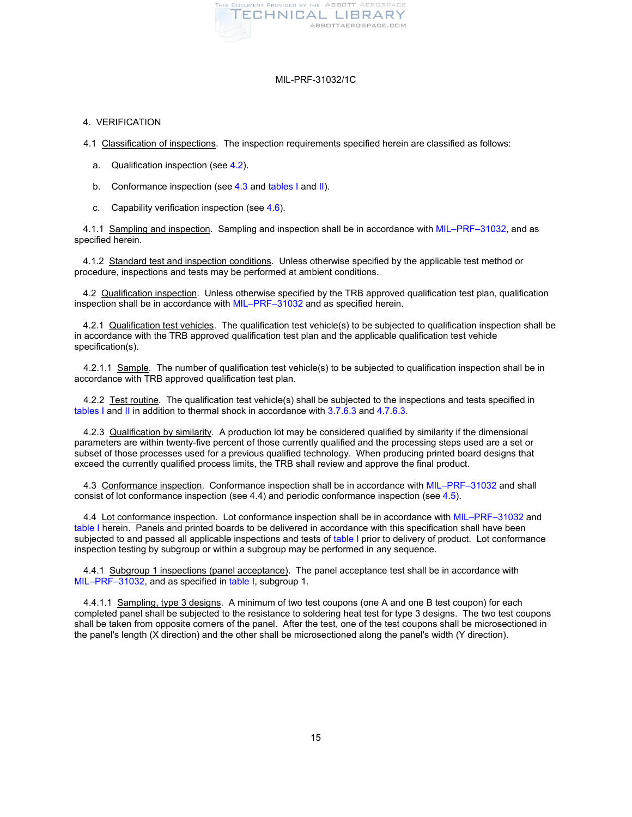

## <span id="page-14-0"></span>4. VERIFICATION

4.1 Classification of inspections. The inspection requirements specified herein are classified as follows:

- a. Qualification inspection (see [4.2\)](#page-14-1).
- b. Conformance inspection (se[e 4.3](#page-14-2) and [tables I](#page-15-0) and [II\)](#page-16-0).
- c. Capability verification inspection (se[e 4.6\)](#page-16-1).

4.1.1 Sampling and inspection. Sampling and inspection shall be in accordance with [MIL–PRF–31032,](#page-1-0) and as specified herein.

4.1.2 Standard test and inspection conditions. Unless otherwise specified by the applicable test method or procedure, inspections and tests may be performed at ambient conditions.

<span id="page-14-1"></span>4.2 Qualification inspection. Unless otherwise specified by the TRB approved qualification test plan, qualification inspection shall be in accordance with [MIL–PRF–31032](#page-1-0) and as specified herein.

4.2.1 Qualification test vehicles. The qualification test vehicle(s) to be subjected to qualification inspection shall be in accordance with the TRB approved qualification test plan and the applicable qualification test vehicle specification(s).

4.2.1.1 Sample. The number of qualification test vehicle(s) to be subjected to qualification inspection shall be in accordance with TRB approved qualification test plan.

4.2.2 Test routine. The qualification test vehicle(s) shall be subjected to the inspections and tests specified in [tables I](#page-15-0) and [II](#page-16-0) in addition to thermal shock in accordance wit[h 3.7.6.3](#page-13-0) and [4.7.6.3.](#page-20-5)

4.2.3 Qualification by similarity. A production lot may be considered qualified by similarity if the dimensional parameters are within twenty-five percent of those currently qualified and the processing steps used are a set or subset of those processes used for a previous qualified technology. When producing printed board designs that exceed the currently qualified process limits, the TRB shall review and approve the final product.

<span id="page-14-2"></span>4.3 Conformance inspection. Conformance inspection shall be in accordance with [MIL–PRF–31032](#page-1-0) and shall consist of lot conformance inspection (see 4.4) and periodic conformance inspection (see [4.5\)](#page-16-2).

4.4 Lot conformance inspection. Lot conformance inspection shall be in accordance with [MIL–PRF–31032](#page-1-0) and [table I](#page-15-0) herein. Panels and printed boards to be delivered in accordance with this specification shall have been subjected to and passed all applicable inspections and tests of [table I](#page-15-0) prior to delivery of product. Lot conformance inspection testing by subgroup or within a subgroup may be performed in any sequence.

4.4.1 Subgroup 1 inspections (panel acceptance). The panel acceptance test shall be in accordance with [MIL–PRF–31032,](#page-1-0) and as specified in [table I,](#page-15-0) subgroup 1.

4.4.1.1 Sampling, type 3 designs. A minimum of two test coupons (one A and one B test coupon) for each completed panel shall be subjected to the resistance to soldering heat test for type 3 designs. The two test coupons shall be taken from opposite corners of the panel. After the test, one of the test coupons shall be microsectioned in the panel's length (X direction) and the other shall be microsectioned along the panel's width (Y direction).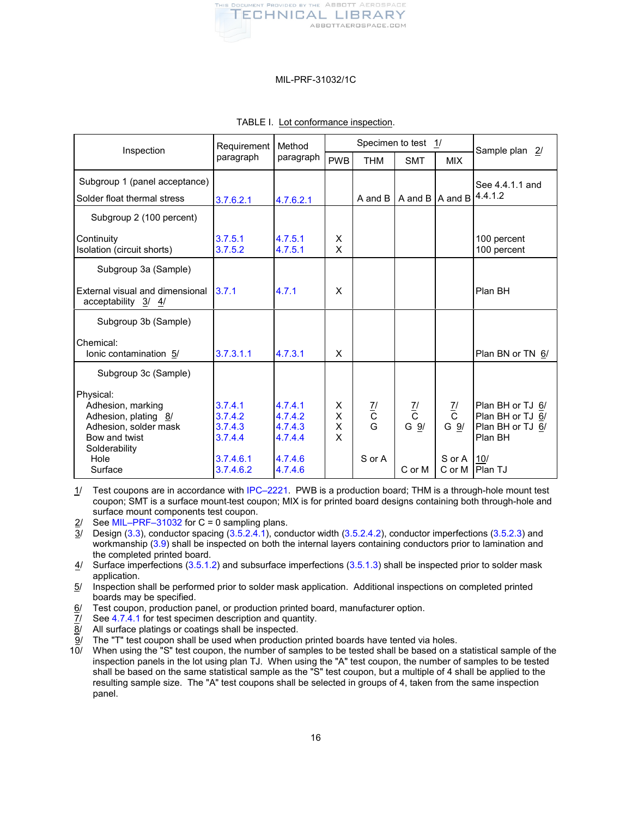

| Inspection                                                                                                        | Requirement<br>paragraph                 | Method<br>paragraph                      | Specimen to test 1/ |                     |                                  |                                  | Sample plan 2/                                                      |
|-------------------------------------------------------------------------------------------------------------------|------------------------------------------|------------------------------------------|---------------------|---------------------|----------------------------------|----------------------------------|---------------------------------------------------------------------|
|                                                                                                                   |                                          |                                          | <b>PWB</b>          | <b>THM</b>          | <b>SMT</b>                       | <b>MIX</b>                       |                                                                     |
| Subgroup 1 (panel acceptance)                                                                                     |                                          |                                          |                     |                     |                                  |                                  | See 4.4.1.1 and                                                     |
| Solder float thermal stress                                                                                       | 3.7.6.2.1                                | 4.7.6.2.1                                |                     | A and B             | A and B                          | A and B                          | 4.4.1.2                                                             |
| Subgroup 2 (100 percent)                                                                                          |                                          |                                          |                     |                     |                                  |                                  |                                                                     |
| Continuity<br>Isolation (circuit shorts)                                                                          | 3.7.5.1<br>3.7.5.2                       | 4.7.5.1<br>4.7.5.1                       | X<br>X              |                     |                                  |                                  | 100 percent<br>100 percent                                          |
| Subgroup 3a (Sample)                                                                                              |                                          |                                          |                     |                     |                                  |                                  |                                                                     |
| External visual and dimensional<br>acceptability 3/ 4/                                                            | 3.7.1                                    | 4.7.1                                    | X                   |                     |                                  |                                  | Plan BH                                                             |
| Subgroup 3b (Sample)                                                                                              |                                          |                                          |                     |                     |                                  |                                  |                                                                     |
| Chemical:<br>lonic contamination 5/                                                                               | 3.7.3.1.1                                | 4.7.3.1                                  | X                   |                     |                                  |                                  | Plan BN or TN 6/                                                    |
| Subgroup 3c (Sample)                                                                                              |                                          |                                          |                     |                     |                                  |                                  |                                                                     |
| Physical:<br>Adhesion, marking<br>Adhesion, plating 8/<br>Adhesion, solder mask<br>Bow and twist<br>Solderability | 3.7.4.1<br>3.7.4.2<br>3.7.4.3<br>3.7.4.4 | 4.7.4.1<br>4.7.4.2<br>4.7.4.3<br>4.7.4.4 | X.<br>X<br>X<br>X   | $\frac{7}{10}$<br>G | $\frac{7}{1}$<br>G $\frac{9}{2}$ | $\frac{7}{1}$<br>G $\frac{9}{1}$ | Plan BH or TJ 6/<br>Plan BH or TJ 6/<br>Plan BH or TJ 6/<br>Plan BH |
| Hole<br>Surface                                                                                                   | 3.7.4.6.1<br>3.7.4.6.2                   | 4.7.4.6<br>4.7.4.6                       |                     | S or A              | C or M                           | S or A<br>C or M                 | 110/<br><b>IPlan TJ</b>                                             |

## <span id="page-15-0"></span>TABLE I. Lot conformance inspection.

1/ Test coupons are in accordance with [IPC–2221.](#page-1-1) PWB is a production board; THM is a through-hole mount test coupon; SMT is a surface mount test coupon; MIX is for printed board designs containing both through-hole and surface mount components test coupon.

2/ Se[e MIL–PRF–31032](#page-1-0) for  $C = 0$  sampling plans.

 $\overline{3}$ / Design [\(3.3\)](#page-2-2), conductor spacing [\(3.5.2.4.1\)](#page-5-0), conductor width [\(3.5.2.4.2\)](#page-5-1), conductor imperfections [\(3.5.2.3\)](#page-4-1) and workmanship [\(3.9\)](#page-13-3) shall be inspected on both the internal layers containing conductors prior to lamination and the completed printed board.

 $4/$  Surface imperfections [\(3.5.1.2\)](#page-3-0) and subsurface imperfections [\(3.5.1.3\)](#page-3-1) shall be inspected prior to solder mask application.

5/ Inspection shall be performed prior to solder mask application. Additional inspections on completed printed boards may be specified.

 $6/$  Test coupon, production panel, or production printed board, manufacturer option.

7/ Se[e 4.7.4.1](#page-19-0) for test specimen description and quantity.

8/ All surface platings or coatings shall be inspected.

 $\frac{9}{10}$  The "T" test coupon shall be used when production printed boards have tented via holes.<br>10/ When using the "S" test coupon, the number of samples to be tested shall be based on a

10/ When using the "S" test coupon, the number of samples to be tested shall be based on a statistical sample of the inspection panels in the lot using plan TJ. When using the "A" test coupon, the number of samples to be tested shall be based on the same statistical sample as the "S" test coupon, but a multiple of 4 shall be applied to the resulting sample size. The "A" test coupons shall be selected in groups of 4, taken from the same inspection panel.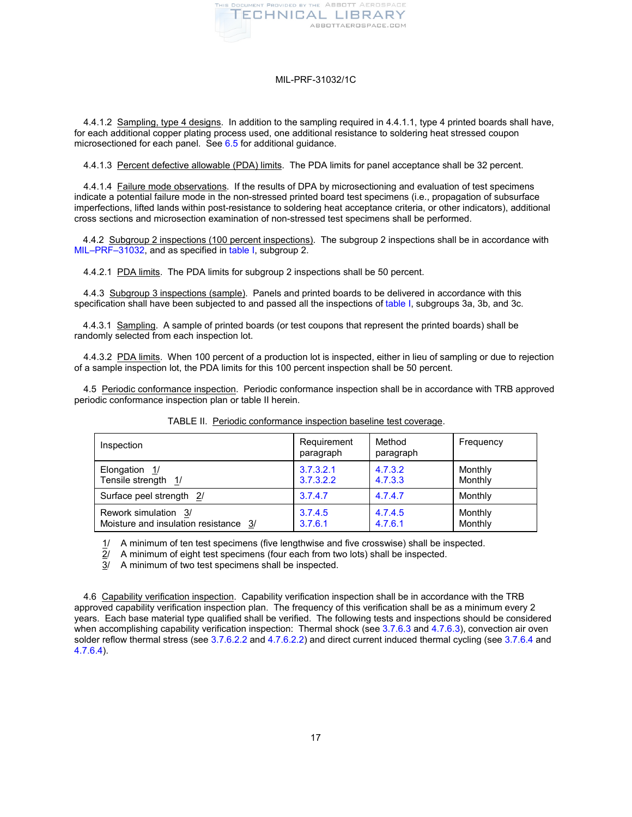

4.4.1.2 Sampling, type 4 designs. In addition to the sampling required in 4.4.1.1, type 4 printed boards shall have, for each additional copper plating process used, one additional resistance to soldering heat stressed coupon microsectioned for each panel. See [6.5](#page-22-2) for additional guidance.

4.4.1.3 Percent defective allowable (PDA) limits. The PDA limits for panel acceptance shall be 32 percent.

4.4.1.4 Failure mode observations. If the results of DPA by microsectioning and evaluation of test specimens indicate a potential failure mode in the non-stressed printed board test specimens (i.e., propagation of subsurface imperfections, lifted lands within post-resistance to soldering heat acceptance criteria, or other indicators), additional cross sections and microsection examination of non-stressed test specimens shall be performed.

4.4.2 Subgroup 2 inspections (100 percent inspections). The subgroup 2 inspections shall be in accordance with [MIL–PRF–31032,](#page-1-0) and as specified in [table I,](#page-15-0) subgroup 2.

4.4.2.1 PDA limits. The PDA limits for subgroup 2 inspections shall be 50 percent.

4.4.3 Subgroup 3 inspections (sample). Panels and printed boards to be delivered in accordance with this specification shall have been subjected to and passed all the inspections o[f table I,](#page-15-0) subgroups 3a, 3b, and 3c.

4.4.3.1 Sampling. A sample of printed boards (or test coupons that represent the printed boards) shall be randomly selected from each inspection lot.

4.4.3.2 PDA limits. When 100 percent of a production lot is inspected, either in lieu of sampling or due to rejection of a sample inspection lot, the PDA limits for this 100 percent inspection shall be 50 percent.

<span id="page-16-2"></span>4.5 Periodic conformance inspection. Periodic conformance inspection shall be in accordance with TRB approved periodic conformance inspection plan or table II herein.

| Inspection                            | Requirement<br>paragraph | Method<br>paragraph | Frequency |
|---------------------------------------|--------------------------|---------------------|-----------|
| Elongation 1/                         | 3.7.3.2.1                | 4.7.3.2             | Monthly   |
| Tensile strength 1/                   | 3.7.3.2.2                | 4.7.3.3             | Monthly   |
| Surface peel strength 2/              | 3.7.4.7                  | 4.7.4.7             | Monthly   |
| Rework simulation 3/                  | 3.7.4.5                  | 4.7.4.5             | Monthly   |
| Moisture and insulation resistance 3/ | 3.7.6.1                  | 4.7.6.1             | Monthly   |

<span id="page-16-0"></span>

|  |  | TABLE II. Periodic conformance inspection baseline test coverage. |  |
|--|--|-------------------------------------------------------------------|--|
|--|--|-------------------------------------------------------------------|--|

 $\frac{1}{2}$  A minimum of ten test specimens (five lengthwise and five crosswise) shall be inspected.<br> $\frac{1}{2}$  A minimum of eight test specimens (four each from two lots) shall be inspected.

 $2/$  A minimum of eight test specimens (four each from two lots) shall be inspected.<br>3/ A minimum of two test specimens shall be inspected.

A minimum of two test specimens shall be inspected.

<span id="page-16-1"></span>4.6 Capability verification inspection. Capability verification inspection shall be in accordance with the TRB approved capability verification inspection plan. The frequency of this verification shall be as a minimum every 2 years. Each base material type qualified shall be verified. The following tests and inspections should be considered when accomplishing capability verification inspection: Thermal shock (se[e 3.7.6.3](#page-13-0) and [4.7.6.3\)](#page-20-5), convection air oven solder reflow thermal stress (se[e 3.7.6.2.2](#page-12-8) an[d 4.7.6.2.2\)](#page-20-4) and direct current induced thermal cycling (see [3.7.6.4](#page-13-4) and [4.7.6.4\)](#page-20-7).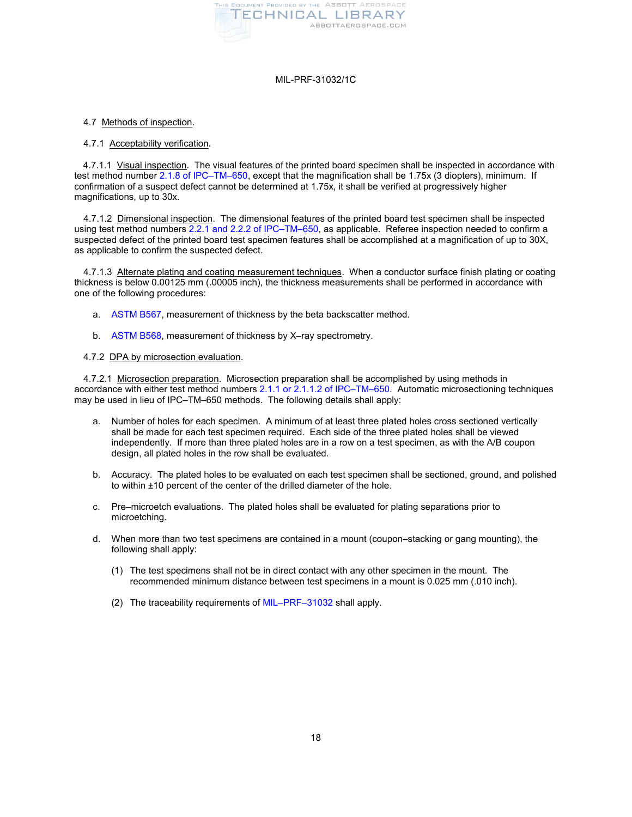

## <span id="page-17-0"></span>4.7 Methods of inspection.

#### <span id="page-17-1"></span>4.7.1 Acceptability verification.

4.7.1.1 Visual inspection. The visual features of the printed board specimen shall be inspected in accordance with test method numbe[r 2.1.8 of IPC–TM–650,](http://www.ipc.org/contentpage.aspx?PageID=4.1.0.1.1.1) except that the magnification shall be 1.75x (3 diopters), minimum. If confirmation of a suspect defect cannot be determined at 1.75x, it shall be verified at progressively higher magnifications, up to 30x.

4.7.1.2 Dimensional inspection. The dimensional features of the printed board test specimen shall be inspected using test method numbers [2.2.1 and 2.2.2 of IPC–TM–650,](http://www.ipc.org/contentpage.aspx?PageID=4.1.0.1.1.2) as applicable. Referee inspection needed to confirm a suspected defect of the printed board test specimen features shall be accomplished at a magnification of up to 30X, as applicable to confirm the suspected defect.

<span id="page-17-4"></span>4.7.1.3 Alternate plating and coating measurement techniques. When a conductor surface finish plating or coating thickness is below 0.00125 mm (.00005 inch), the thickness measurements shall be performed in accordance with one of the following procedures:

- a. [ASTM B567,](#page-1-5) measurement of thickness by the beta backscatter method.
- b. [ASTM B568,](#page-1-6) measurement of thickness by X–ray spectrometry.

## <span id="page-17-2"></span>4.7.2 DPA by microsection evaluation.

<span id="page-17-3"></span>4.7.2.1 Microsection preparation. Microsection preparation shall be accomplished by using methods in accordance with either test method numbers [2.1.1 or 2.1.1.2 of IPC–TM–650.](http://www.ipc.org/contentpage.aspx?PageID=4.1.0.1.1.1) Automatic microsectioning techniques may be used in lieu of IPC–TM–650 methods. The following details shall apply:

- a. Number of holes for each specimen. A minimum of at least three plated holes cross sectioned vertically shall be made for each test specimen required. Each side of the three plated holes shall be viewed independently. If more than three plated holes are in a row on a test specimen, as with the A/B coupon design, all plated holes in the row shall be evaluated.
- b. Accuracy. The plated holes to be evaluated on each test specimen shall be sectioned, ground, and polished to within ±10 percent of the center of the drilled diameter of the hole.
- c. Pre–microetch evaluations. The plated holes shall be evaluated for plating separations prior to microetching.
- d. When more than two test specimens are contained in a mount (coupon–stacking or gang mounting), the following shall apply:
	- (1) The test specimens shall not be in direct contact with any other specimen in the mount. The recommended minimum distance between test specimens in a mount is 0.025 mm (.010 inch).
	- (2) The traceability requirements of [MIL–PRF–31032](#page-1-0) shall apply.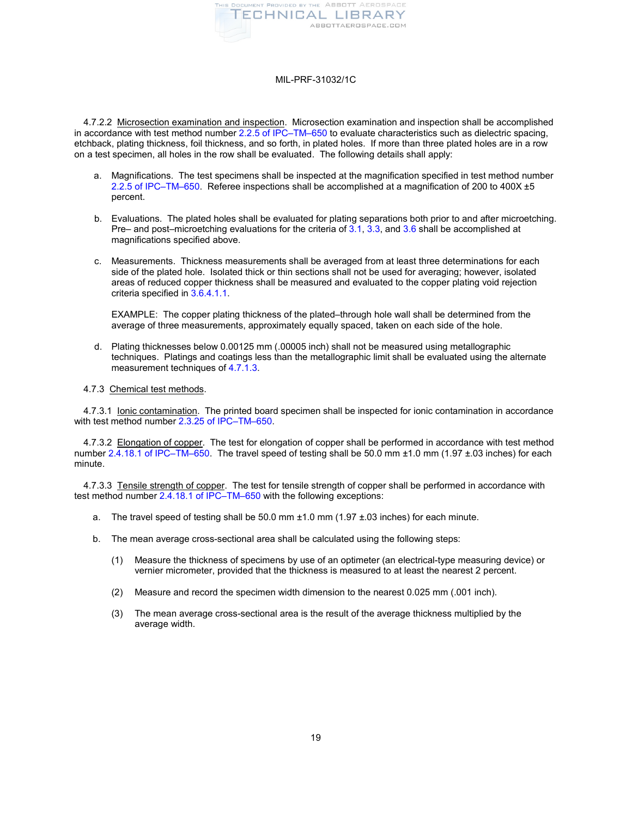

4.7.2.2 Microsection examination and inspection. Microsection examination and inspection shall be accomplished in accordance with test method number [2.2.5 of IPC–TM–650](http://www.ipc.org/contentpage.aspx?PageID=4.1.0.1.1.2) to evaluate characteristics such as dielectric spacing, etchback, plating thickness, foil thickness, and so forth, in plated holes. If more than three plated holes are in a row on a test specimen, all holes in the row shall be evaluated. The following details shall apply:

- a. Magnifications. The test specimens shall be inspected at the magnification specified in test method number [2.2.5 of IPC–TM–650.](http://www.ipc.org/contentpage.aspx?PageID=4.1.0.1.1.2) Referee inspections shall be accomplished at a magnification of 200 to 400X ±5 percent.
- b. Evaluations. The plated holes shall be evaluated for plating separations both prior to and after microetching. Pre– and post–microetching evaluations for the criteria of [3.1,](#page-2-1) [3.3,](#page-2-2) and [3.6](#page-7-1) shall be accomplished at magnifications specified above.
- c. Measurements. Thickness measurements shall be averaged from at least three determinations for each side of the plated hole. Isolated thick or thin sections shall not be used for averaging; however, isolated areas of reduced copper thickness shall be measured and evaluated to the copper plating void rejection criteria specified in [3.6.4.1.1.](#page-9-1)

EXAMPLE: The copper plating thickness of the plated–through hole wall shall be determined from the average of three measurements, approximately equally spaced, taken on each side of the hole.

d. Plating thicknesses below 0.00125 mm (.00005 inch) shall not be measured using metallographic techniques. Platings and coatings less than the metallographic limit shall be evaluated using the alternate measurement techniques o[f 4.7.1.3.](#page-17-4)

## 4.7.3 Chemical test methods.

<span id="page-18-2"></span>4.7.3.1 Ionic contamination. The printed board specimen shall be inspected for ionic contamination in accordance with test method number [2.3.25 of IPC–TM–650.](http://www.ipc.org/contentpage.aspx?PageID=4.1.0.1.1.3)

<span id="page-18-0"></span>4.7.3.2 Elongation of copper. The test for elongation of copper shall be performed in accordance with test method number [2.4.18.1 of IPC–TM–650.](http://www.ipc.org/contentpage.aspx?PageID=4.1.0.1.1.4) The travel speed of testing shall be 50.0 mm ±1.0 mm (1.97 ±.03 inches) for each minute.

<span id="page-18-1"></span>4.7.3.3 Tensile strength of copper. The test for tensile strength of copper shall be performed in accordance with test method numbe[r 2.4.18.1 of IPC–TM–650](http://www.ipc.org/contentpage.aspx?PageID=4.1.0.1.1.4) with the following exceptions:

- a. The travel speed of testing shall be  $50.0$  mm  $\pm 1.0$  mm  $(1.97 \pm .03)$  inches) for each minute.
- b. The mean average cross-sectional area shall be calculated using the following steps:
	- (1) Measure the thickness of specimens by use of an optimeter (an electrical-type measuring device) or vernier micrometer, provided that the thickness is measured to at least the nearest 2 percent.
	- (2) Measure and record the specimen width dimension to the nearest 0.025 mm (.001 inch).
	- (3) The mean average cross-sectional area is the result of the average thickness multiplied by the average width.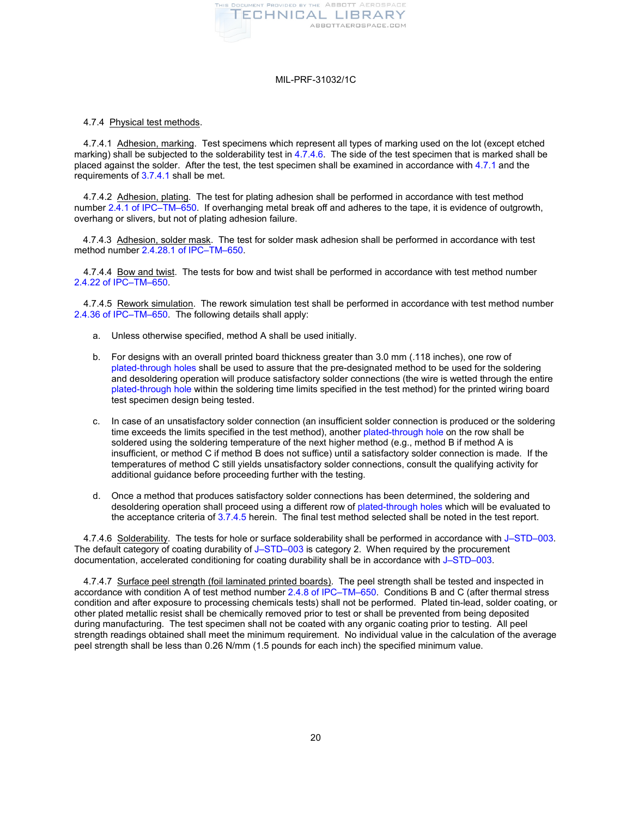

## 4.7.4 Physical test methods.

<span id="page-19-0"></span>4.7.4.1 Adhesion, marking. Test specimens which represent all types of marking used on the lot (except etched marking) shall be subjected to the solderability test i[n 4.7.4.6.](#page-19-5) The side of the test specimen that is marked shall be placed against the solder. After the test, the test specimen shall be examined in accordance wit[h 4.7.1](#page-17-1) and the requirements of [3.7.4.1](#page-11-2) shall be met.

<span id="page-19-1"></span>4.7.4.2 Adhesion, plating. The test for plating adhesion shall be performed in accordance with test method number [2.4.1 of IPC–TM–650.](http://www.ipc.org/contentpage.aspx?PageID=4.1.0.1.1.4) If overhanging metal break off and adheres to the tape, it is evidence of outgrowth, overhang or slivers, but not of plating adhesion failure.

<span id="page-19-2"></span>4.7.4.3 Adhesion, solder mask. The test for solder mask adhesion shall be performed in accordance with test method numbe[r 2.4.28.1 of IPC–TM–650.](http://www.ipc.org/contentpage.aspx?PageID=4.1.0.1.1.4)

<span id="page-19-3"></span>4.7.4.4 Bow and twist. The tests for bow and twist shall be performed in accordance with test method number [2.4.22 of IPC–TM–650.](http://www.ipc.org/contentpage.aspx?PageID=4.1.0.1.1.4)

<span id="page-19-4"></span>4.7.4.5 Rework simulation. The rework simulation test shall be performed in accordance with test method number [2.4.36 of IPC–TM–650.](http://www.ipc.org/contentpage.aspx?PageID=4.1.0.1.1.4) The following details shall apply:

- a. Unless otherwise specified, method A shall be used initially.
- b. For designs with an overall printed board thickness greater than 3.0 mm (.118 inches), one row of [plated-through holes](#page-22-3) shall be used to assure that the pre-designated method to be used for the soldering and desoldering operation will produce satisfactory solder connections (the wire is wetted through the entire [plated-through hole](#page-22-3) within the soldering time limits specified in the test method) for the printed wiring board test specimen design being tested.
- c. In case of an unsatisfactory solder connection (an insufficient solder connection is produced or the soldering time exceeds the limits specified in the test method), another [plated-through hole](#page-22-3) on the row shall be soldered using the soldering temperature of the next higher method (e.g., method B if method A is insufficient, or method C if method B does not suffice) until a satisfactory solder connection is made. If the temperatures of method C still yields unsatisfactory solder connections, consult the qualifying activity for additional guidance before proceeding further with the testing.
- d. Once a method that produces satisfactory solder connections has been determined, the soldering and desoldering operation shall proceed using a different row of [plated-through holes](#page-22-3) which will be evaluated to the acceptance criteria of [3.7.4.5](#page-11-0) herein. The final test method selected shall be noted in the test report.

<span id="page-19-5"></span>4.7.4.6 Solderability. The tests for hole or surface solderability shall be performed in accordance with [J–STD–003.](#page-1-4) The default category of coating durability of [J–STD–003](#page-1-4) is category 2. When required by the procurement documentation, accelerated conditioning for coating durability shall be in accordance with [J–STD–003.](#page-1-4)

<span id="page-19-6"></span>4.7.4.7 Surface peel strength (foil laminated printed boards). The peel strength shall be tested and inspected in accordance with condition A of test method number [2.4.8 of IPC–TM–650.](http://www.ipc.org/contentpage.aspx?PageID=4.1.0.1.1.4) Conditions B and C (after thermal stress condition and after exposure to processing chemicals tests) shall not be performed. Plated tin-lead, solder coating, or other plated metallic resist shall be chemically removed prior to test or shall be prevented from being deposited during manufacturing. The test specimen shall not be coated with any organic coating prior to testing. All peel strength readings obtained shall meet the minimum requirement. No individual value in the calculation of the average peel strength shall be less than 0.26 N/mm (1.5 pounds for each inch) the specified minimum value.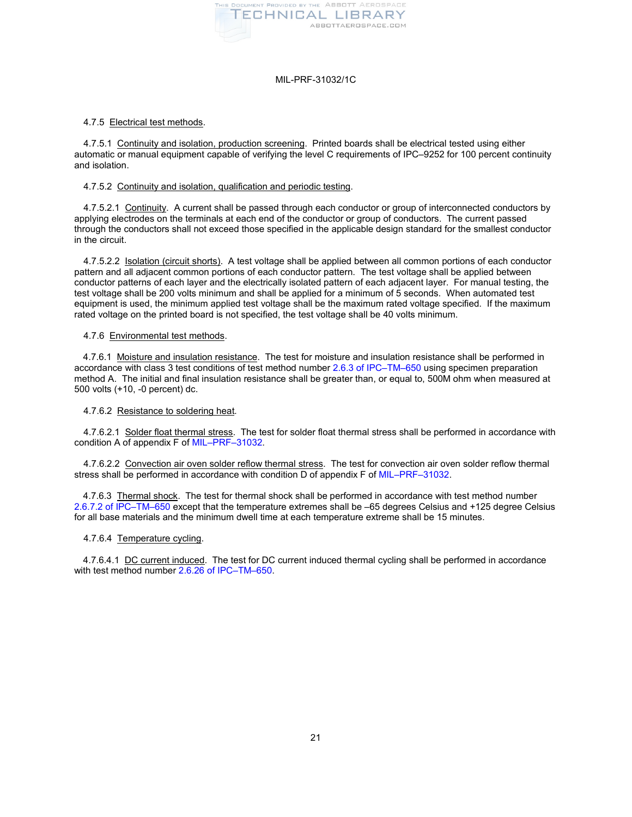

## 4.7.5 Electrical test methods.

<span id="page-20-0"></span>4.7.5.1 Continuity and isolation, production screening. Printed boards shall be electrical tested using either automatic or manual equipment capable of verifying the level C requirements of IPC–9252 for 100 percent continuity and isolation.

# <span id="page-20-1"></span>4.7.5.2 Continuity and isolation, qualification and periodic testing.

4.7.5.2.1 Continuity. A current shall be passed through each conductor or group of interconnected conductors by applying electrodes on the terminals at each end of the conductor or group of conductors. The current passed through the conductors shall not exceed those specified in the applicable design standard for the smallest conductor in the circuit.

4.7.5.2.2 Isolation (circuit shorts). A test voltage shall be applied between all common portions of each conductor pattern and all adjacent common portions of each conductor pattern. The test voltage shall be applied between conductor patterns of each layer and the electrically isolated pattern of each adjacent layer. For manual testing, the test voltage shall be 200 volts minimum and shall be applied for a minimum of 5 seconds. When automated test equipment is used, the minimum applied test voltage shall be the maximum rated voltage specified. If the maximum rated voltage on the printed board is not specified, the test voltage shall be 40 volts minimum.

## 4.7.6 Environmental test methods.

<span id="page-20-2"></span>4.7.6.1 Moisture and insulation resistance. The test for moisture and insulation resistance shall be performed in accordance with class 3 test conditions of test method numbe[r 2.6.3 of IPC–TM–650](http://www.ipc.org/contentpage.aspx?PageID=4.1.0.1.1.6) using specimen preparation method A. The initial and final insulation resistance shall be greater than, or equal to, 500M ohm when measured at 500 volts (+10, -0 percent) dc.

#### 4.7.6.2 Resistance to soldering heat.

<span id="page-20-3"></span>4.7.6.2.1 Solder float thermal stress. The test for solder float thermal stress shall be performed in accordance with condition A of appendix F of [MIL–PRF–31032.](#page-1-0)

<span id="page-20-4"></span>4.7.6.2.2 Convection air oven solder reflow thermal stress. The test for convection air oven solder reflow thermal stress shall be performed in accordance with condition D of appendix F of [MIL–PRF–31032.](#page-1-0)

<span id="page-20-5"></span>4.7.6.3 Thermal shock. The test for thermal shock shall be performed in accordance with test method number [2.6.7.2 of IPC–TM–650](http://www.ipc.org/contentpage.aspx?PageID=4.1.0.1.1.6) except that the temperature extremes shall be –65 degrees Celsius and +125 degree Celsius for all base materials and the minimum dwell time at each temperature extreme shall be 15 minutes.

## <span id="page-20-7"></span>4.7.6.4 Temperature cycling.

<span id="page-20-6"></span>4.7.6.4.1 DC current induced. The test for DC current induced thermal cycling shall be performed in accordance with test method number [2.6.26 of IPC–TM–650.](http://www.ipc.org/contentpage.aspx?PageID=4.1.0.1.1.6)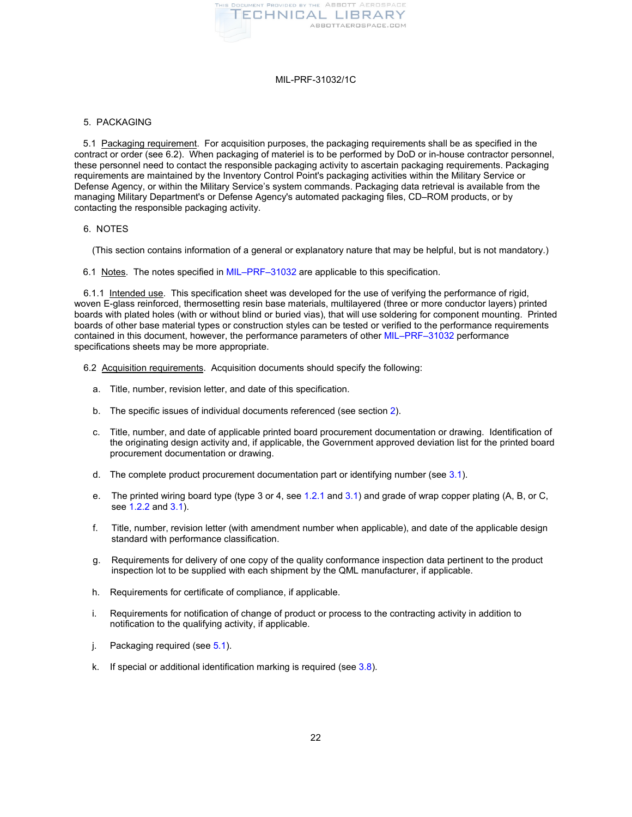

## <span id="page-21-2"></span>5. PACKAGING

<span id="page-21-3"></span>5.1 Packaging requirement. For acquisition purposes, the packaging requirements shall be as specified in the contract or order (see 6.2). When packaging of materiel is to be performed by DoD or in-house contractor personnel, these personnel need to contact the responsible packaging activity to ascertain packaging requirements. Packaging requirements are maintained by the Inventory Control Point's packaging activities within the Military Service or Defense Agency, or within the Military Service's system commands. Packaging data retrieval is available from the managing Military Department's or Defense Agency's automated packaging files, CD–ROM products, or by contacting the responsible packaging activity.

## 6. NOTES

(This section contains information of a general or explanatory nature that may be helpful, but is not mandatory.)

6.1 Notes. The notes specified in [MIL–PRF–31032](#page-1-0) are applicable to this specification.

<span id="page-21-0"></span>6.1.1 Intended use. This specification sheet was developed for the use of verifying the performance of rigid, woven E-glass reinforced, thermosetting resin base materials, multilayered (three or more conductor layers) printed boards with plated holes (with or without blind or buried vias), that will use soldering for component mounting. Printed boards of other base material types or construction styles can be tested or verified to the performance requirements contained in this document, however, the performance parameters of other [MIL–PRF–31032](#page-1-0) performance specifications sheets may be more appropriate.

- <span id="page-21-1"></span>6.2 Acquisition requirements. Acquisition documents should specify the following:
	- a. Title, number, revision letter, and date of this specification.
	- b. The specific issues of individual documents referenced (see section [2\)](#page-1-7).
	- c. Title, number, and date of applicable printed board procurement documentation or drawing. Identification of the originating design activity and, if applicable, the Government approved deviation list for the printed board procurement documentation or drawing.
	- d. The complete product procurement documentation part or identifying number (see  $3.1$ ).
	- e. The printed wiring board type (type 3 or 4, se[e 1.2.1](#page-0-1) an[d 3.1\)](#page-2-1) and grade of wrap copper plating  $(A, B, or C)$ see [1.2.2](#page-0-0) and [3.1\)](#page-2-1).
	- f. Title, number, revision letter (with amendment number when applicable), and date of the applicable design standard with performance classification.
	- g. Requirements for delivery of one copy of the quality conformance inspection data pertinent to the product inspection lot to be supplied with each shipment by the QML manufacturer, if applicable.
	- h. Requirements for certificate of compliance, if applicable.
	- i. Requirements for notification of change of product or process to the contracting activity in addition to notification to the qualifying activity, if applicable.
	- j. Packaging required (se[e 5.1\)](#page-21-3).
	- k. If special or additional identification marking is required (se[e 3.8\)](#page-13-2).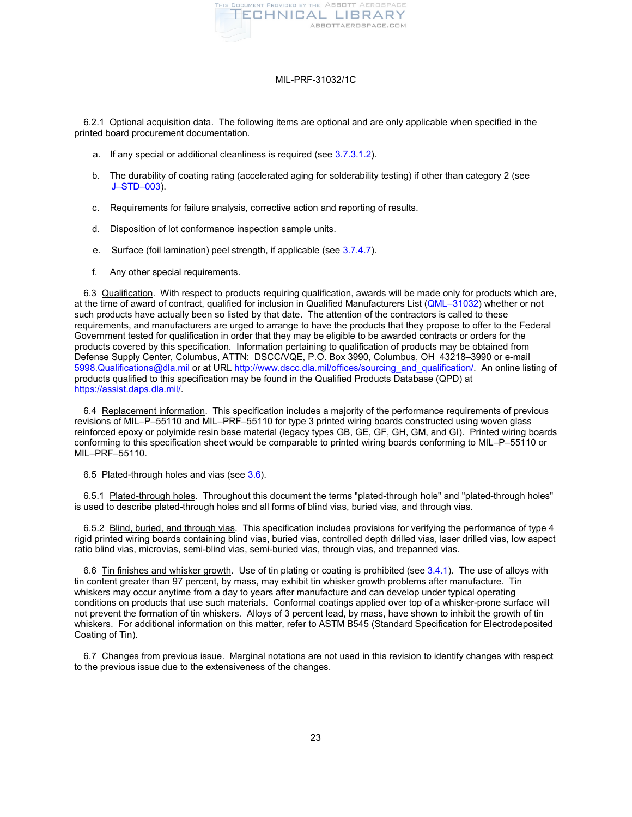

<span id="page-22-4"></span>6.2.1 Optional acquisition data. The following items are optional and are only applicable when specified in the printed board procurement documentation.

- a. If any special or additional cleanliness is required (se[e 3.7.3.1.2\)](#page-11-8).
- <span id="page-22-5"></span>b. The durability of coating rating (accelerated aging for solderability testing) if other than category 2 (see [J–STD–003\)](#page-1-4).
- c. Requirements for failure analysis, corrective action and reporting of results.
- d. Disposition of lot conformance inspection sample units.
- e. Surface (foil lamination) peel strength, if applicable (see [3.7.4.7\)](#page-12-6).
- f. Any other special requirements.

<span id="page-22-0"></span>6.3 Qualification. With respect to products requiring qualification, awards will be made only for products which are, at the time of award of contract, qualified for inclusion in Qualified Manufacturers List [\(QML–31032\)](http://www.dscc.dla.mil/Programs/QmlQpl/QPLdetail.asp?qpl=31032) whether or not such products have actually been so listed by that date. The attention of the contractors is called to these requirements, and manufacturers are urged to arrange to have the products that they propose to offer to the Federal Government tested for qualification in order that they may be eligible to be awarded contracts or orders for the products covered by this specification. Information pertaining to qualification of products may be obtained from Defense Supply Center, Columbus, ATTN: DSCC/VQE, P.O. Box 3990, Columbus, OH 43218–3990 or e-mail [5998.Qualifications@dla.mil](mailto:5998.Qualifications@dla.mil) or at URL [http://www.dscc.dla.mil/offices/sourcing\\_and\\_qualification/.](http://www.dscc.dla.mil/offices/sourcing_and_qualification/offices.asp?section=VQE) An online listing of products qualified to this specification may be found in the Qualified Products Database (QPD) at [https://assist.daps.dla.mil/.](https://assist.daps.dla.mil/)

6.4 Replacement information. This specification includes a majority of the performance requirements of previous revisions of MIL–P–55110 and MIL–PRF–55110 for type 3 printed wiring boards constructed using woven glass reinforced epoxy or polyimide resin base material (legacy types GB, GE, GF, GH, GM, and GI). Printed wiring boards conforming to this specification sheet would be comparable to printed wiring boards conforming to MIL–P–55110 or MIL–PRF–55110.

#### <span id="page-22-3"></span><span id="page-22-2"></span>6.5 Plated-through holes and vias (see [3.6\)](#page-7-1).

6.5.1 Plated-through holes. Throughout this document the terms "plated-through hole" and "plated-through holes" is used to describe plated-through holes and all forms of blind vias, buried vias, and through vias.

6.5.2 Blind, buried, and through vias. This specification includes provisions for verifying the performance of type 4 rigid printed wiring boards containing blind vias, buried vias, controlled depth drilled vias, laser drilled vias, low aspect ratio blind vias, microvias, semi-blind vias, semi-buried vias, through vias, and trepanned vias.

<span id="page-22-1"></span>6.6 Tin finishes and whisker growth. Use of tin plating or coating is prohibited (see [3.4.1\)](#page-2-6). The use of alloys with tin content greater than 97 percent, by mass, may exhibit tin whisker growth problems after manufacture. Tin whiskers may occur anytime from a day to years after manufacture and can develop under typical operating conditions on products that use such materials. Conformal coatings applied over top of a whisker-prone surface will not prevent the formation of tin whiskers. Alloys of 3 percent lead, by mass, have shown to inhibit the growth of tin whiskers. For additional information on this matter, refer to ASTM B545 (Standard Specification for Electrodeposited Coating of Tin).

6.7 Changes from previous issue. Marginal notations are not used in this revision to identify changes with respect to the previous issue due to the extensiveness of the changes.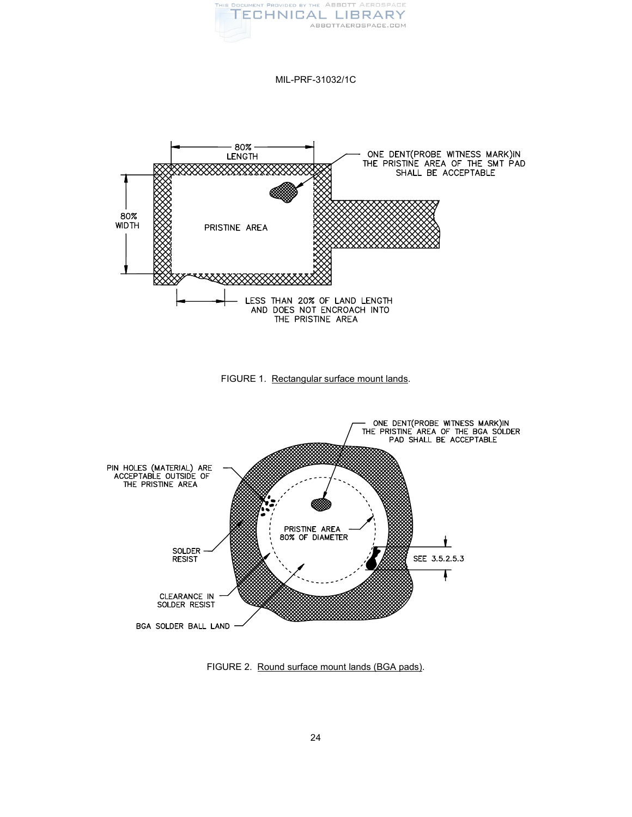

<span id="page-23-0"></span>



<span id="page-23-1"></span>

FIGURE 2. Round surface mount lands (BGA pads).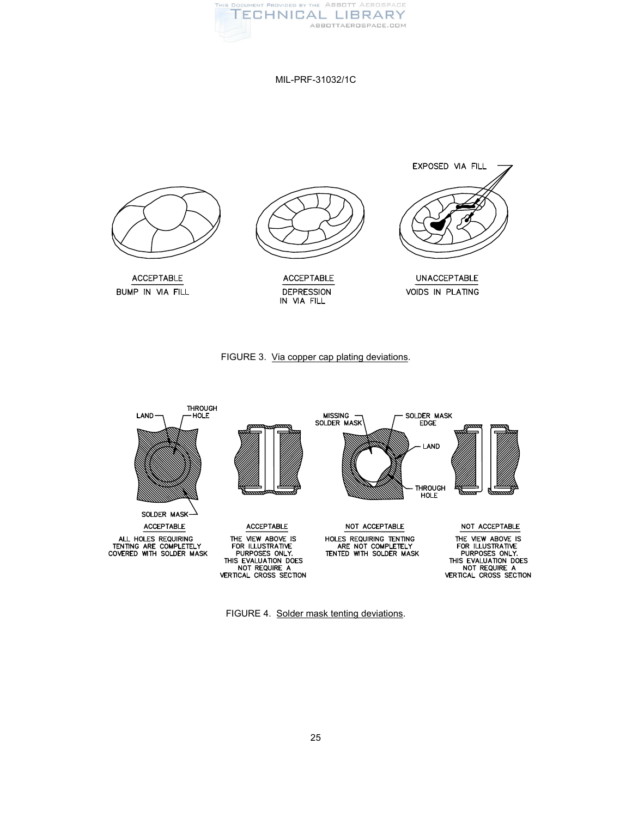

<span id="page-24-0"></span>



<span id="page-24-1"></span>

FIGURE 4. Solder mask tenting deviations.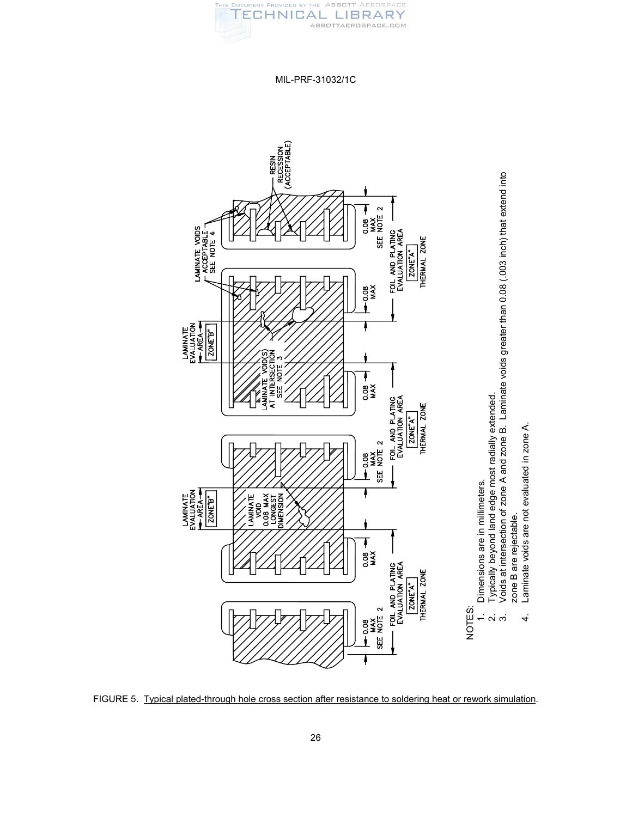

MIL-PRF-31032/1C

<span id="page-25-0"></span>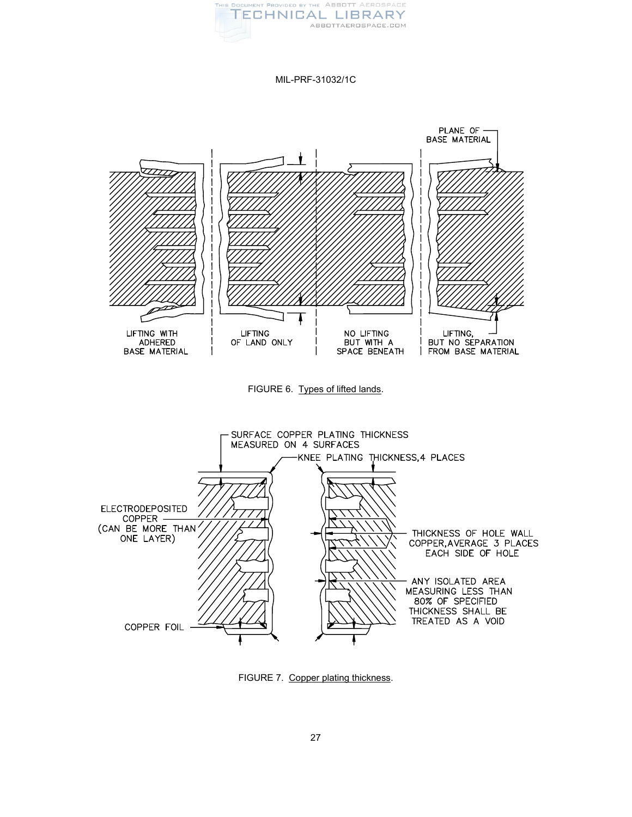

<span id="page-26-1"></span><span id="page-26-0"></span>

FIGURE 7. Copper plating thickness.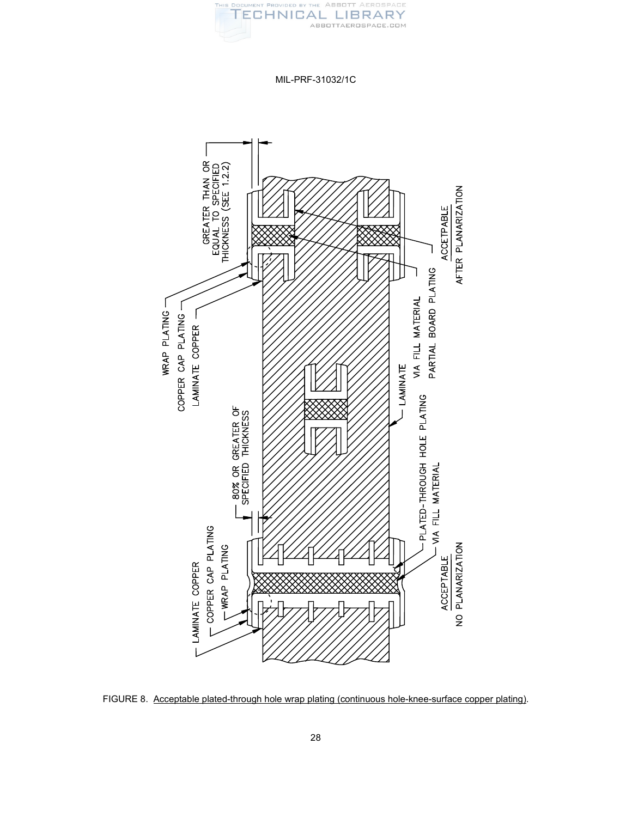

MIL-PRF-31032/1C

<span id="page-27-0"></span>

FIGURE 8. Acceptable plated-through hole wrap plating (continuous hole-knee-surface copper plating).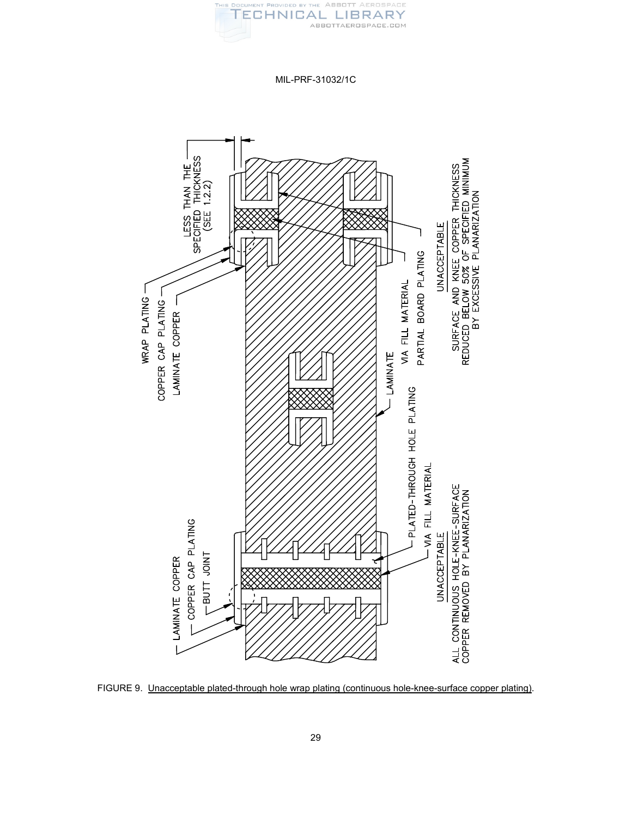

MIL-PRF-31032/1C

<span id="page-28-0"></span>

FIGURE 9. Unacceptable plated-through hole wrap plating (continuous hole-knee-surface copper plating).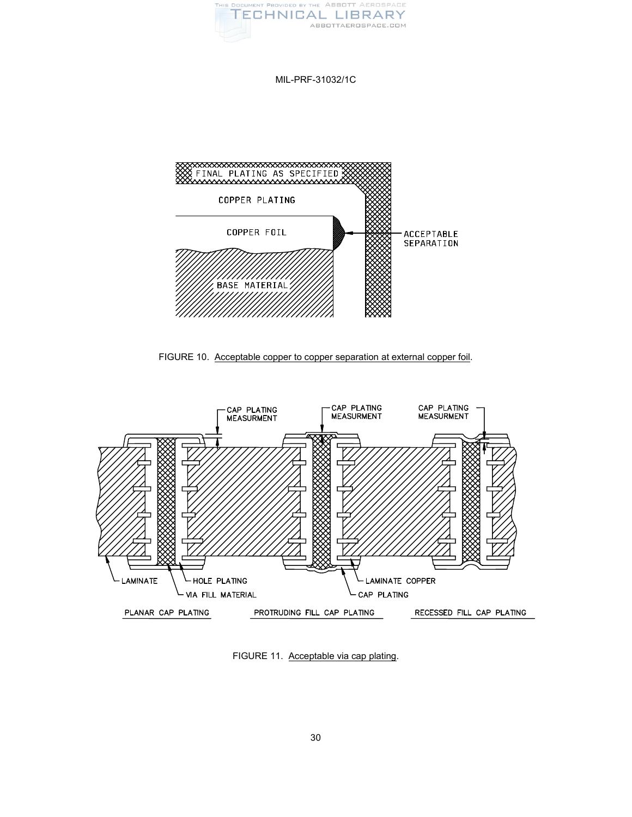

<span id="page-29-0"></span>

FIGURE 10. Acceptable copper to copper separation at external copper foil.

<span id="page-29-1"></span>

FIGURE 11. Acceptable via cap plating.